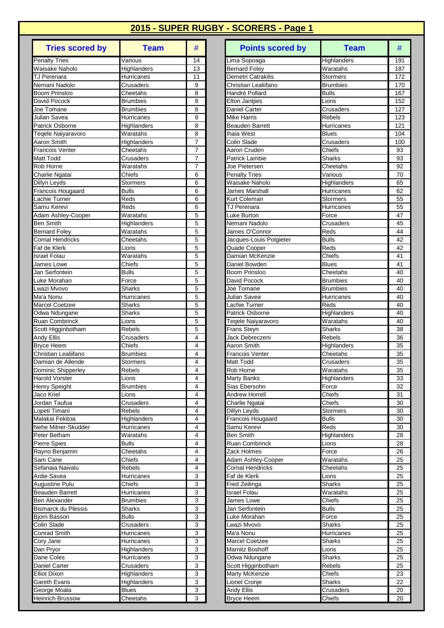| <b>Tries scored by</b>               | <b>Team</b>                        | #                   |
|--------------------------------------|------------------------------------|---------------------|
| <b>Penalty Tries</b>                 | Various                            | 14                  |
| Waisake Naholo                       | Highlanders                        | $\overline{1}3$     |
| TJ Perenara                          | Hurricanes                         | 11                  |
| Nemani Nadolo                        | Crusaders                          | 9                   |
| Boom Prinsloo                        | Cheetahs                           | 8                   |
| David Pocock<br>Joe Tomane           | <b>Brumbies</b><br><b>Brumbies</b> | 8<br>8              |
| Julian Savea                         | Hurricanes                         | 8                   |
| <b>Patrick Osborne</b>               | Highlanders                        | 8                   |
| Teqele Naiyaravoro                   | Waratahs                           | 8                   |
| Aaron Smith                          | Highlanders                        | 7                   |
| <b>Francois Venter</b>               | Cheetahs                           | 7                   |
| Matt Todd                            | Crusaders                          | 7                   |
| Rob Horne                            | Waratahs                           | 7                   |
| Charlie Ngatai                       | Chiefs                             | 6                   |
| Dillyn Leyds<br>Francois Hougaard    | Stormers<br><b>Bulls</b>           | 6<br>6              |
| Lachie Turner                        | Reds                               | 6                   |
| Samu Kerevi                          | Reds                               | 6                   |
| Adam Ashley-Cooper                   | Waratahs                           | 5                   |
| <b>Ben Smith</b>                     | Highlanders                        | 5                   |
| <b>Bernard Foley</b>                 | Waratahs                           | 5                   |
| <b>Cornal Hendricks</b>              | Cheetahs                           | 5                   |
| Faf de Klerk                         | Lions                              | 5                   |
| <b>Israel Folau</b>                  | Waratahs                           | 5                   |
| James Lowe                           | Chiefs                             | 5                   |
| Jan Serfontein                       | <b>Bulls</b>                       | 5                   |
| Luke Morahan                         | Force                              | 5<br>5              |
| Lwazi Mvovo<br>Ma'a Nonu             | <b>Sharks</b><br>Hurricanes        | 5                   |
| <b>Marcel Coetzee</b>                | Sharks                             | 5                   |
| Odwa Ndungane                        | Sharks                             | 5                   |
| Ruan Combrinck                       | Lions                              | 5                   |
| Scott Higginbotham                   | Rebels                             | 5                   |
| <b>Andy Ellis</b>                    | Crusaders                          | 4                   |
| <b>Bryce Heem</b>                    | Chiefs                             | 4                   |
| Christian Lealiifano                 | <b>Brumbies</b>                    | 4                   |
| Damian de Allende                    | <b>Stormers</b>                    | 4                   |
| Dominic Shipperley<br>Harold Vorster | Rebels                             | 4<br>4              |
| Henry Speight                        | Lions<br><b>Brumbies</b>           | 4                   |
| Jaco Kriel                           | Lions                              | 4                   |
| Jordan Taufua                        | Crusaders                          | 4                   |
| Lopeti Timani                        | Rebels                             | $\overline{4}$      |
| Malakai Fekitoa                      | Highlanders                        | $\overline{4}$      |
| Nehe Milner-Skudder                  | Hurricanes                         | $\overline{4}$      |
| Peter Betham                         | Waratahs                           | 4                   |
| <b>Pierre Spies</b>                  | <b>Bulls</b>                       | 4                   |
| Rayno Benjamin                       | Cheetahs                           | 4                   |
| Sam Cane                             | Chiefs                             | $\overline{4}$<br>4 |
| Sefanaia Naivalu<br>Ardie Savea      | Rebels<br>Hurricanes               | 3                   |
| Augustine Pulu                       | Chiefs                             | 3                   |
| <b>Beauden Barrett</b>               | Hurricanes                         | 3                   |
| <b>Ben Alexander</b>                 | <b>Brumbies</b>                    | 3                   |
| <b>Bismarck du Plessis</b>           | Sharks                             | 3                   |
| Bjorn Basson                         | <b>Bulls</b>                       | 3                   |
| Colin Slade                          | Crusaders                          | 3                   |
| Conrad Smith                         | Hurricanes                         | 3                   |
| Cory Jane                            | Hurricanes                         | 3                   |
| Dan Pryor                            | Highlanders                        | 3                   |
| Dane Coles                           | Hurricanes                         | 3                   |
| Daniel Carter                        | Crusaders                          | 3                   |
| <b>Elliot Dixon</b><br>Gareth Evans  | Highlanders<br>Highlanders         | 3<br>3              |
| George Moala                         | <b>Blues</b>                       | 3                   |
| <b>Heinrich Brussow</b>              | Cheetahs                           | 3                   |

| <b>Tries scored by</b>          | <b>Team</b>                   | #                       |                    | <b>Points scored by</b>    | <b>Team</b>          | #          |
|---------------------------------|-------------------------------|-------------------------|--------------------|----------------------------|----------------------|------------|
| <b>Penalty Tries</b>            | Various                       | 14                      |                    | Lima Sopoaga               | Highlanders          | 191        |
| Waisake Naholo                  | Highlanders                   | 13                      |                    | <b>Bernard Foley</b>       | Waratahs             | 187        |
| TJ Perenara                     | Hurricanes                    | 11                      |                    | Demetri Catrakilis         | <b>Stormers</b>      | 172        |
| Nemani Nadolo                   | Crusaders                     | 9                       |                    | Christian Lealiifano       | <b>Brumbies</b>      | 170        |
| <b>Boom Prinsloo</b>            | Cheetahs                      | 8                       |                    | Handré Pollard             | <b>Bulls</b>         | 167        |
| David Pocock                    | Brumbies                      | 8                       |                    | <b>Elton Jantiies</b>      | Lions                | 152        |
| Joe Tomane                      | Brumbies                      | 8                       |                    | Daniel Carter              | Crusaders            | 127        |
| Julian Savea<br>Patrick Osborne | Hurricanes                    | 8<br>8                  | <b>Mike Harris</b> |                            | Rebels<br>Hurricanes | 123<br>121 |
| Tegele Naiyaravoro              | Highlanders<br>Waratahs       | 8                       | Ihaia West         | <b>Beauden Barrett</b>     | <b>Blues</b>         | 104        |
| Aaron Smith                     | Highlanders                   | $\overline{7}$          | Colin Slade        |                            | Crusaders            | 100        |
| <b>Francois Venter</b>          | Cheetahs                      | $\overline{7}$          |                    | Aaron Cruden               | Chiefs               | 93         |
| Matt Todd                       | Crusaders                     | $\overline{7}$          |                    | <b>Patrick Lambie</b>      | Sharks               | 93         |
| Rob Horne                       | Waratahs                      | $\overline{7}$          |                    | Joe Pietersen              | Cheetahs             | 92         |
| Charlie Ngatai                  | Chiefs                        | 6                       |                    | <b>Penalty Tries</b>       | Various              | 70         |
| Dillyn Leyds                    | Stormers                      | 6                       |                    | Waisake Naholo             | Highlanders          | 65         |
| Francois Hougaard               | <b>Bulls</b>                  | 6                       |                    | James Marshall             | Hurricanes           | 62         |
| Lachie Turner                   | Reds                          | 6                       |                    | Kurt Coleman               | <b>Stormers</b>      | 55         |
| Samu Kerevi                     | Reds                          | 6                       |                    | <b>TJ Perenara</b>         | Hurricanes           | 55         |
| Adam Ashley-Cooper              | $\overline{\text{W}}$ aratahs | 5                       |                    | Luke Burton                | Force                | 47         |
| Ben Smith                       | Highlanders                   | 5                       |                    | Nemani Nadolo              | Crusaders            | 45         |
| <b>Bernard Foley</b>            | Waratahs                      | 5                       |                    | James O'Connor             | Reds                 | 44         |
| <b>Cornal Hendricks</b>         | Cheetahs                      | $\overline{5}$          |                    | Jacques-Louis Potgieter    | <b>Bulls</b>         | 42         |
| Faf de Klerk                    | Lions                         | 5                       |                    | Quade Cooper               | Reds                 | 42         |
| Israel Folau                    | Waratahs                      | 5                       |                    | Damian McKenzie            | Chiefs               | 41         |
| James Lowe                      | Chiefs                        | 5                       |                    | Daniel Bowden              | <b>Blues</b>         | 41         |
| Jan Serfontein                  | <b>Bulls</b>                  | 5                       |                    | Boom Prinsloo              | Cheetahs             | 40         |
| Luke Morahan                    | Force                         | 5                       |                    | David Pocock               | <b>Brumbies</b>      | 40         |
| Lwazi Mvovo<br>Ma'a Nonu        | <b>Sharks</b>                 | 5<br>5                  |                    | Joe Tomane<br>Julian Savea | <b>Brumbies</b>      | 40<br>40   |
| <b>Marcel Coetzee</b>           | Hurricanes<br><b>Sharks</b>   | 5                       |                    | Lachie Turner              | Hurricanes<br>Reds   | 40         |
| Odwa Ndungane                   | Sharks                        | 5                       |                    | Patrick Osborne            | Highlanders          | 40         |
| <b>Ruan Combrinck</b>           | Lions                         | 5                       |                    | Teqele Naiyaravoro         | Waratahs             | 40         |
| Scott Higginbotham              | Rebels                        | 5                       |                    | Frans Steyn                | Sharks               | 38         |
| Andy Ellis                      | Crusaders                     | $\overline{\mathbf{4}}$ |                    | Jack Debreczeni            | <b>Rebels</b>        | 36         |
| Bryce Heem                      | Chiefs                        | 4                       |                    | Aaron Smith                | Highlanders          | 35         |
| Christian Lealiifano            | <b>Brumbies</b>               | $\overline{4}$          |                    | <b>Francois Venter</b>     | Cheetahs             | 35         |
| Damian de Allende               | Stormers                      | 4                       | Matt Todd          |                            | Crusaders            | 35         |
| Dominic Shipperley              | Rebels                        | 4                       | Rob Horne          |                            | Waratahs             | 35         |
| Harold Vorster                  | Lions                         | 4                       | <b>Marty Banks</b> |                            | Highlanders          | 33         |
| Henry Speight                   | <b>Brumbies</b>               | 4                       |                    | Sias Ebersohn              | Force                | 32         |
| Jaco Kriel                      | Lions                         | 4                       |                    | <b>Andrew Horrell</b>      | Chiefs               | 31         |
| Jordan Taufua                   | Crusaders                     | 4                       |                    | Charlie Ngatai             | Chiefs               | 30         |
| Lopeti Timani                   | Rebels                        | 4                       |                    | Dillyn Leyds               | Stormers             | 30         |
| Malakai Fekitoa                 | Highlanders                   | 4                       |                    | Francois Hougaard          | <b>Bulls</b>         | 30         |
| Nehe Milner-Skudder             | Hurricanes                    | 4                       |                    | Samu Kerevi                | Reds                 | 30         |
| Peter Betham<br>Pierre Spies    | Waratahs<br><b>Bulls</b>      | 4<br>4                  | <b>Ben Smith</b>   | <b>Ruan Combrinck</b>      | Highlanders<br>Lions | 28<br>28   |
| Rayno Benjamin                  | Cheetahs                      | 4                       |                    | Zack Holmes                | Force                | 26         |
| Sam Cane                        | Chiefs                        | 4                       |                    | Adam Ashley-Cooper         | Waratahs             | 25         |
| Sefanaia Naivalu                | Rebels                        | 4                       |                    | <b>Cornal Hendricks</b>    | Cheetahs             | 25         |
| Ardie Savea                     | Hurricanes                    | 3                       |                    | Faf de Klerk               | Lions                | 25         |
| Augustine Pulu                  | Chiefs                        | 3                       |                    | Fred Zeilinga              | <b>Sharks</b>        | 25         |
| Beauden Barrett                 | Hurricanes                    | 3                       |                    | <b>Israel Folau</b>        | Waratahs             | 25         |
| Ben Alexander                   | Brumbies                      | 3                       |                    | James Lowe                 | Chiefs               | 25         |
| <b>Bismarck du Plessis</b>      | Sharks                        | 3                       |                    | Jan Serfontein             | <b>Bulls</b>         | 25         |
| Bjorn Basson                    | <b>Bulls</b>                  | 3                       |                    | Luke Morahan               | Force                | 25         |
| Colin Slade                     | Crusaders                     | 3                       |                    | Lwazi Mvovo                | Sharks               | 25         |
| Conrad Smith                    | Hurricanes                    | 3                       | Ma'a Nonu          |                            | Hurricanes           | 25         |
| Cory Jane                       | Hurricanes                    | 3                       |                    | <b>Marcel Coetzee</b>      | Sharks               | 25         |
| Dan Pryor                       | Highlanders                   | 3                       |                    | Marnitz Boshoff            | Lions                | 25         |
| Dane Coles                      | Hurricanes                    | 3                       |                    | Odwa Ndungane              | Sharks               | 25         |
| Daniel Carter                   | Crusaders                     | 3                       |                    | Scott Higginbotham         | Rebels               | 25         |
| <b>Elliot Dixon</b>             | Highlanders                   | 3                       |                    | Marty McKenzie             | Chiefs               | 23         |
| Gareth Evans                    | Highlanders                   | 3                       |                    | Lionel Cronje              | Sharks               | 22         |
| George Moala                    | <b>Blues</b>                  | 3                       | Andy Ellis         |                            | Crusaders            | 20         |
| <b>Heinrich Brussow</b>         | Cheetahs                      | 3                       |                    | <b>Bryce Heem</b>          | Chiefs               | 20         |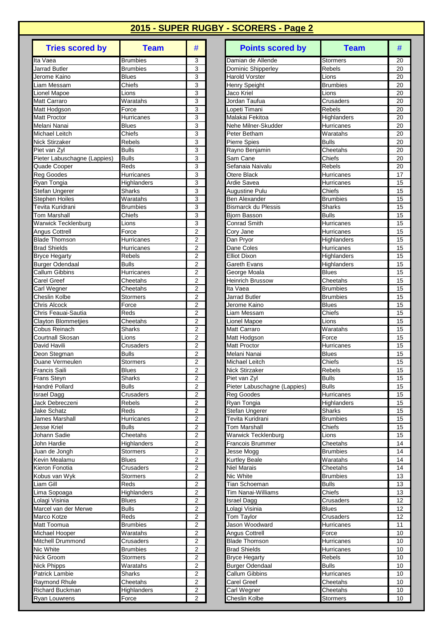| <b>Tries scored by</b>                      | <b>Team</b>                 | #                                         |
|---------------------------------------------|-----------------------------|-------------------------------------------|
| Ita Vaea                                    | <b>Brumbies</b>             | 3                                         |
| <b>Jarrad Butler</b>                        | <b>Brumbies</b>             | 3                                         |
| Jerome Kaino                                | <b>Blues</b>                | 3                                         |
| Liam Messam                                 | Chiefs                      | 3<br>3                                    |
| <b>Lionel Mapoe</b><br>Matt Carraro         | Lions<br>Waratahs           | 3                                         |
| Matt Hodgson                                | Force                       | 3                                         |
| Matt Proctor                                | Hurricanes                  | 3                                         |
| Melani Nanai                                | <b>Blues</b>                | 3                                         |
| Michael Leitch                              | Chiefs                      | 3                                         |
| <b>Nick Stirzaker</b>                       | <b>Rebels</b>               | $\overline{\mathbf{3}}$                   |
| Piet van Zyl                                | <b>Bulls</b>                | 3                                         |
| Pieter Labuschagne (Lappies)                | <b>Bulls</b><br>Reds        | 3                                         |
| Quade Cooper<br>Reg Goodes                  | Hurricanes                  | 3<br>3                                    |
| Ryan Tongia                                 | Highlanders                 | 3                                         |
| Stefan Ungerer                              | Sharks                      | 3                                         |
| <b>Stephen Hoiles</b>                       | Waratahs                    | 3                                         |
| Tevita Kuridrani                            | <b>Brumbies</b>             | 3                                         |
| Tom Marshall                                | Chiefs                      | 3                                         |
| Warwick Tecklenburg                         | Lions                       | 3                                         |
| Angus Cottrell                              | Force                       | $\overline{2}$                            |
| <b>Blade Thomson</b>                        | Hurricanes                  | $\overline{c}$<br>$\overline{2}$          |
| <b>Brad Shields</b><br><b>Bryce Hegarty</b> | Hurricanes<br><b>Rebels</b> | 2                                         |
| <b>Burger Odendaal</b>                      | <b>Bulls</b>                | $\overline{c}$                            |
| <b>Callum Gibbins</b>                       | Hurricanes                  | 2                                         |
| <b>Carel Greef</b>                          | Cheetahs                    | 2                                         |
| Carl Wegner                                 | Cheetahs                    | 2                                         |
| Cheslin Kolbe                               | Stormers                    | $\overline{2}$                            |
| <b>Chris Alcock</b>                         | Force                       | 2                                         |
| Chris Feauai-Sautia                         | Reds                        | $\overline{2}$                            |
| Clayton Blommetjies                         | Cheetahs                    | $\overline{c}$                            |
| Cobus Reinach<br>Courtnall Skosan           | Sharks<br>Lions             | 2<br>2                                    |
| David Havili                                | Crusaders                   | 2                                         |
| Deon Stegman                                | <b>Bulls</b>                | 2                                         |
| Duane Vermeulen                             | Stormers                    | 2                                         |
| Francis Saili                               | <b>Blues</b>                | $\overline{2}$                            |
| Frans Steyn                                 | Sharks                      | $\overline{\mathbf{c}}$                   |
| Handré Pollard                              | <b>Bulls</b>                | 2                                         |
| <b>Israel Dagg</b>                          | Crusaders                   | 2                                         |
| Jack Debreczeni                             | <b>Rebels</b>               | 2                                         |
| Jake Schatz<br>James Marshall               | Reds<br>Hurricanes          | 2<br>$\overline{c}$                       |
| <b>Jesse Kriel</b>                          | <b>Bulls</b>                | $\overline{2}$                            |
| Johann Sadie                                | Cheetahs                    | $\overline{\mathbf{c}}$                   |
| John Hardie                                 | Highlanders                 | $\overline{\mathbf{c}}$                   |
| Juan de Jongh                               | Stormers                    | 2                                         |
| Kevin Mealamu                               | <b>Blues</b>                | $\overline{2}$                            |
| Kieron Fonotia                              | Crusaders                   | $\overline{\mathbf{c}}$                   |
| Kobus van Wyk                               | <b>Stormers</b>             | 2                                         |
| Liam Gill                                   | Reds                        | 2                                         |
| Lima Sopoaga<br>Lolagi Visinia              | Highlanders<br><b>Blues</b> | 2<br>$\overline{2}$                       |
| Marcel van der Merwe                        | <b>Bulls</b>                | $\overline{\mathbf{c}}$                   |
| Marco Kotze                                 | Reds                        | $\overline{2}$                            |
| Matt Toomua                                 | <b>Brumbies</b>             | 2                                         |
| Michael Hooper                              | Waratahs                    | 2                                         |
| Mitchell Drummond                           | Crusaders                   | $\overline{\mathbf{c}}$                   |
| Nic White                                   | <b>Brumbies</b>             | $\overline{2}$                            |
| Nick Groom                                  | Stormers                    | $\overline{\mathbf{c}}$                   |
| <b>Nick Phipps</b>                          | Waratahs                    | $\overline{c}$                            |
| <b>Patrick Lambie</b>                       | Sharks                      | $\overline{\mathbf{c}}$                   |
| Raymond Rhule<br><b>Richard Buckman</b>     | Cheetahs<br>Highlanders     | $\overline{\mathbf{c}}$<br>$\overline{2}$ |
| <b>Ryan Louwrens</b>                        | Force                       | $\overline{2}$                            |

| <b>Tries scored by</b>              | <b>Team</b>                | #                                | <b>Points scored by</b>                           | <b>Team</b>                        | #        |
|-------------------------------------|----------------------------|----------------------------------|---------------------------------------------------|------------------------------------|----------|
| Ita Vaea                            | <b>Brumbies</b>            | 3                                | Damian de Allende                                 | Stormers                           | 20       |
| <b>Jarrad Butler</b>                | <b>Brumbies</b>            | 3                                | Dominic Shipperley                                | Rebels                             | 20       |
| Jerome Kaino                        | <b>Blues</b>               | 3                                | <b>Harold Vorster</b>                             | Lions                              | 20       |
| Liam Messam                         | Chiefs                     | 3                                | Henry Speight                                     | <b>Brumbies</b>                    | 20       |
| <b>Lionel Mapoe</b>                 | Lions                      | 3                                | Jaco Kriel                                        | Lions                              | 20       |
| Matt Carraro                        | Waratahs                   | 3                                | Jordan Taufua                                     | Crusaders                          | 20       |
| Matt Hodgson<br><b>Matt Proctor</b> | Force                      | 3<br>3                           | Lopeti Timani<br>Malakai Fekitoa                  | Rebels                             | 20<br>20 |
| Melani Nanai                        | Hurricanes<br>Blues        | 3                                | Nehe Milner-Skudder                               | Highlanders<br><b>Hurricanes</b>   | 20       |
| Michael Leitch                      | Chiefs                     | 3                                | Peter Betham                                      | Waratahs                           | 20       |
| <b>Nick Stirzaker</b>               | Rebels                     | 3                                | <b>Pierre Spies</b>                               | <b>Bulls</b>                       | 20       |
| Piet van Zyl                        | <b>Bulls</b>               | 3                                | Rayno Benjamin                                    | Cheetahs                           | 20       |
| Pieter Labuschagne (Lappies)        | <b>Bulls</b>               | 3                                | Sam Cane                                          | Chiefs                             | 20       |
| Quade Cooper                        | Reds                       | 3                                | Sefanaia Naivalu                                  | <b>Rebels</b>                      | 20       |
| Reg Goodes                          | Hurricanes                 | 3                                | Otere Black                                       | Hurricanes                         | 17       |
| Ryan Tongia                         | Highlanders                | 3                                | Ardie Savea                                       | Hurricanes                         | 15       |
| Stefan Ungerer                      | <b>Sharks</b>              | 3                                | <b>Augustine Pulu</b>                             | Chiefs                             | 15       |
| <b>Stephen Hoiles</b>               | Waratahs                   | 3                                | <b>Ben Alexander</b>                              | <b>Brumbies</b>                    | 15       |
| Tevita Kuridrani                    | <b>Brumbies</b>            | 3                                | <b>Bismarck du Plessis</b>                        | Sharks                             | 15       |
| <b>Tom Marshall</b>                 | Chiefs                     | 3                                | <b>Biorn Basson</b>                               | <b>Bulls</b>                       | 15       |
| <b>Warwick Tecklenburg</b>          | Lions                      | 3                                | Conrad Smith                                      | Hurricanes                         | 15       |
| Angus Cottrell                      | Force                      | 2                                | Cory Jane                                         | Hurricanes                         | 15       |
| <b>Blade Thomson</b>                | Hurricanes                 | 2                                | Dan Pryor                                         | Highlanders                        | 15       |
| <b>Brad Shields</b>                 | Hurricanes                 | $\overline{2}$                   | Dane Coles                                        | Hurricanes                         | 15       |
| <b>Bryce Hegarty</b>                | Rebels                     | $\overline{2}$                   | <b>Elliot Dixon</b>                               | Highlanders                        | 15       |
| <b>Burger Odendaal</b>              | <b>Bulls</b>               | 2                                | Gareth Evans                                      | Highlanders                        | 15       |
| <b>Callum Gibbins</b>               | Hurricanes                 | 2                                | George Moala                                      | <b>Blues</b>                       | 15       |
| Carel Greef                         | Cheetahs                   | $\overline{2}$                   | <b>Heinrich Brussow</b>                           | Cheetahs                           | 15       |
| Carl Wegner<br>Cheslin Kolbe        | Cheetahs<br>Stormers       | $\overline{c}$<br>$\overline{2}$ | Ita Vaea<br>Jarrad Butler                         | <b>Brumbies</b><br><b>Brumbies</b> | 15<br>15 |
| <b>Chris Alcock</b>                 | Force                      | $\overline{2}$                   | Jerome Kaino                                      | <b>Blues</b>                       | 15       |
| Chris Feauai-Sautia                 | Reds                       | $\overline{2}$                   | Liam Messam                                       | Chiefs                             | 15       |
| <b>Clayton Blommetjies</b>          | Cheetahs                   | $\overline{2}$                   | Lionel Mapoe                                      | Lions                              | 15       |
| Cobus Reinach                       | <b>Sharks</b>              | $\overline{2}$                   | <b>Matt Carraro</b>                               | Waratahs                           | 15       |
| Courtnall Skosan                    | Lions                      | $\overline{2}$                   | Matt Hodgson                                      | Force                              | 15       |
| David Havili                        | Crusaders                  | $\overline{2}$                   | <b>Matt Proctor</b>                               | Hurricanes                         | 15       |
| Deon Stegman                        | <b>Bulls</b>               | 2                                | Melani Nanai                                      | <b>Blues</b>                       | 15       |
| Duane Vermeulen                     | Stormers                   | 2                                | Michael Leitch                                    | Chiefs                             | 15       |
| Francis Saili                       | <b>Blues</b>               | $\overline{2}$                   | Nick Stirzaker                                    | Rebels                             | 15       |
| <b>Frans Steyn</b>                  | <b>Sharks</b>              | $\overline{2}$                   | Piet van Zyl                                      | <b>Bulls</b>                       | 15       |
| Handré Pollard                      | <b>Bulls</b>               | $\overline{2}$                   | Pieter Labuschagne (Lappies)                      | Bulls                              | 15       |
| Israel Dagg                         | Crusaders                  | 2                                | Reg Goodes                                        | Hurricanes                         | 15       |
| Jack Debreczeni                     | Rebels                     | 2                                | Ryan Tongia                                       | Highlanders                        | 15       |
| Jake Schatz                         | Reds                       | 2                                | <b>Stefan Ungerer</b>                             | Sharks                             | 15       |
| James Marshall                      | Hurricanes<br><b>Bulls</b> | 2                                | Tevita Kuridrani                                  | Brumbies                           | 15       |
| Jesse Kriel<br>Johann Sadie         | Cheetahs                   | 2<br>$\overline{\mathbf{c}}$     | <b>Tom Marshall</b><br><b>Warwick Tecklenburg</b> | Chiefs<br>Lions                    | 15<br>15 |
| John Hardie                         | Highlanders                | 2                                | <b>Francois Brummer</b>                           | Cheetahs                           | 14       |
| Juan de Jongh                       | Stormers                   | 2                                | Jesse Mogg                                        | <b>Brumbies</b>                    | 14       |
| Kevin Mealamu                       | <b>Blues</b>               | 2                                | <b>Kurtley Beale</b>                              | Waratahs                           | 14       |
| Kieron Fonotia                      | Crusaders                  | 2                                | <b>Niel Marais</b>                                | Cheetahs                           | 14       |
| Kobus van Wyk                       | Stormers                   | $\overline{2}$                   | Nic White                                         | <b>Brumbies</b>                    | 13       |
| Liam Gill                           | Reds                       | 2                                | Tian Schoeman                                     | <b>Bulls</b>                       | 13       |
| Lima Sopoaga                        | Highlanders                | 2                                | Tim Nanai-Williams                                | Chiefs                             | 13       |
| Lolagi Visinia                      | Blues                      | 2                                | Israel Dagg                                       | Crusaders                          | 12       |
| Marcel van der Merwe                | <b>Bulls</b>               | 2                                | Lolagi Visinia                                    | <b>Blues</b>                       | 12       |
| Marco Kotze                         | Reds                       | $\overline{2}$                   | Tom Taylor                                        | Crusaders                          | 12       |
| Matt Toomua                         | <b>Brumbies</b>            | $\overline{\mathbf{c}}$          | Jason Woodward                                    | Hurricanes                         | 11       |
| Michael Hooper                      | Waratahs                   | 2                                | Angus Cottrell                                    | Force                              | 10       |
| Mitchell Drummond                   | Crusaders                  | 2                                | <b>Blade Thomson</b>                              | Hurricanes                         | 10       |
| Nic White                           | <b>Brumbies</b>            | $\boldsymbol{2}$                 | <b>Brad Shields</b>                               | Hurricanes                         | 10       |
| Nick Groom                          | <b>Stormers</b>            | 2                                | <b>Bryce Hegarty</b>                              | Rebels                             | 10       |
| <b>Nick Phipps</b>                  | Waratahs                   | 2                                | <b>Burger Odendaal</b>                            | <b>Bulls</b>                       | 10       |
| Patrick Lambie                      | Sharks                     | 2                                | Callum Gibbins                                    | Hurricanes                         | 10       |
| Raymond Rhule                       | Cheetahs                   | 2                                | Carel Greef                                       | Cheetahs                           | 10       |
| Richard Buckman                     | Highlanders<br>Force       | 2<br>2                           | Carl Wegner<br>Cheslin Kolbe                      | Cheetahs<br>Stormers               | 10<br>10 |
| <b>Ryan Louwrens</b>                |                            |                                  |                                                   |                                    |          |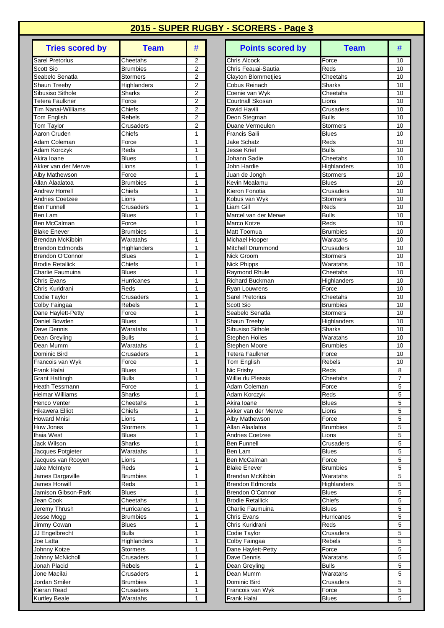| <b>Tries scored by</b>                      | <b>Team</b>                  | #                                |
|---------------------------------------------|------------------------------|----------------------------------|
| Sarel Pretorius                             | Cheetahs                     | 2                                |
| Scott Sio                                   | <b>Brumbies</b>              | $\overline{2}$                   |
| Seabelo Senatla                             | <b>Stormers</b>              | 2                                |
| Shaun Treeby                                | Highlanders                  | $\overline{2}$                   |
| Sibusiso Sithole                            | Sharks                       | 2                                |
| <b>Tetera Faulkner</b>                      | Force                        | 2                                |
| <b>Tim Nanai-Williams</b>                   | Chiefs                       | $\overline{2}$                   |
| Tom English<br><b>Tom Taylor</b>            | Rebels<br>Crusaders          | $\overline{2}$<br>$\overline{2}$ |
| Aaron Cruden                                | Chiefs                       | 1                                |
| Adam Coleman                                | Force                        | $\mathbf{1}$                     |
| Adam Korczyk                                | Reds                         | 1                                |
| Akira Ioane                                 | <b>Blues</b>                 | 1                                |
| Akker van der Merwe                         | Lions                        | 1                                |
| Alby Mathewson                              | Force                        | 1                                |
| Allan Alaalatoa                             | <b>Brumbies</b>              | 1                                |
| <b>Andrew Horrell</b>                       | Chiefs                       | 1                                |
| <b>Andries Coetzee</b>                      | Lions                        | 1                                |
| <b>Ben Funnell</b>                          | Crusaders                    | 1                                |
| Ben Lam                                     | <b>Blues</b>                 | 1                                |
| Ben McCalman                                | Force                        | 1                                |
| <b>Blake Enever</b>                         | <b>Brumbies</b>              | 1                                |
| Brendan McKibbin                            | Waratahs                     | 1                                |
| <b>Brendon Edmonds</b>                      | Highlanders                  | 1                                |
| Brendon O'Connor<br><b>Brodie Retallick</b> | <b>Blues</b><br>Chiefs       | 1<br>1                           |
| Charlie Faumuina                            | <b>Blues</b>                 | 1                                |
| Chris Evans                                 | Hurricanes                   | 1                                |
| Chris Kuridrani                             | Reds                         | 1                                |
| Codie Taylor                                | Crusaders                    | 1                                |
| Colby Faingaa                               | Rebels                       | 1                                |
| Dane Haylett-Petty                          | Force                        | 1                                |
| Daniel Bowden                               | <b>Blues</b>                 | $\overline{1}$                   |
| Dave Dennis                                 | Waratahs                     | 1                                |
| Dean Greyling                               | <b>Bulls</b>                 | 1                                |
| Dean Mumm                                   | Waratahs                     | 1                                |
| Dominic Bird                                | Crusaders                    | 1                                |
| Francois van Wyk                            | Force                        | 1                                |
| Frank Halai                                 | <b>Blues</b>                 | 1                                |
| <b>Grant Hattingh</b>                       | Bulls                        | 1                                |
| <b>Heath Tessmann</b>                       | Force<br><b>Sharks</b>       | 1                                |
| Heimar Williams<br>Henco Venter             | Cheetahs                     | 1<br>1                           |
| <b>Hikawera Elliot</b>                      | Chiefs                       | $\overline{1}$                   |
| <b>Howard Mnisi</b>                         | Lions                        | 1                                |
| Huw Jones                                   | Stormers                     | $\mathbf{1}$                     |
| Ihaia West                                  | <b>Blues</b>                 | 1                                |
| Jack Wilson                                 | <b>Sharks</b>                | 1                                |
| Jacques Potgieter                           | Waratahs                     | 1                                |
| Jacques van Rooyen                          | Lions                        | 1                                |
| Jake McIntyre                               | Reds                         | 1                                |
| James Dargaville                            | <b>Brumbies</b>              | 1                                |
| James Horwill                               | Reds                         | 1                                |
| Jamison Gibson-Park                         | <b>Blues</b>                 | 1                                |
| Jean Cook                                   | Cheetahs                     | $\mathbf{1}$                     |
| Jeremy Thrush                               | Hurricanes                   | 1                                |
| Jesse Mogg                                  | <b>Brumbies</b>              | 1                                |
| Jimmy Cowan<br>JJ Engelbrecht               | <b>Blues</b><br><b>Bulls</b> | 1<br>1                           |
| Joe Latta                                   |                              | 1                                |
| Johnny Kotze                                | Highlanders<br>Stormers      | 1                                |
| Johnny McNicholl                            | Crusaders                    | 1                                |
| Jonah Placid                                | Rebels                       | 1                                |
| Jone Macilai                                | Crusaders                    | 1                                |
| Jordan Smiler                               | <b>Brumbies</b>              | 1                                |
| Kieran Read                                 | Crusaders                    | 1                                |
| <b>Kurtley Beale</b>                        | Waratahs                     | 1                                |

| <b>Tries scored by</b><br><b>Team</b>                           | #                                | <b>Points scored by</b>                   | <b>Team</b>                  | #              |
|-----------------------------------------------------------------|----------------------------------|-------------------------------------------|------------------------------|----------------|
| <b>Sarel Pretorius</b><br>Cheetahs                              | 2                                | Chris Alcock                              | Force                        | 10             |
| Scott Sio<br>Brumbies                                           | 2                                | Chris Feauai-Sautia                       | Reds                         | 10             |
| Seabelo Senatla<br><b>Stormers</b>                              | 2                                | <b>Clayton Blommetjies</b>                | Cheetahs                     | 10             |
| Shaun Treeby<br>Highlanders                                     | 2                                | Cobus Reinach                             | Sharks                       | 10             |
| Sibusiso Sithole<br>Sharks                                      | $\overline{2}$                   | Coenie van Wyk                            | Cheetahs                     | 10             |
| Tetera Faulkner<br>Force<br><b>Tim Nanai-Williams</b><br>Chiefs | $\overline{2}$<br>$\overline{2}$ | <b>Courtnall Skosan</b><br>David Havili   | Lions                        | 10             |
| Tom English<br>Rebels                                           | $\overline{2}$                   | Deon Stegman                              | Crusaders<br><b>Bulls</b>    | 10<br>10       |
| Tom Taylor<br>Crusaders                                         | 2                                | Duane Vermeulen                           | <b>Stormers</b>              | 10             |
| Aaron Cruden<br>Chiefs                                          | 1                                | <b>Francis Saili</b>                      | <b>Blues</b>                 | 10             |
| Adam Coleman<br>Force                                           | 1                                | <b>Jake Schatz</b>                        | Reds                         | 10             |
| $\overline{\mathsf{Red}}$ s<br>Adam Korczyk                     | $\mathbf{1}$                     | Jesse Kriel                               | <b>Bulls</b>                 | 10             |
| <b>Blues</b><br>Akira Ioane                                     | $\mathbf{1}$                     | Johann Sadie                              | Cheetahs                     | 10             |
| Akker van der Merwe<br>Lions                                    | 1                                | John Hardie                               | Highlanders                  | 10             |
| Alby Mathewson<br>Force                                         | 1                                | Juan de Jongh                             | <b>Stormers</b>              | 10             |
| Allan Alaalatoa<br>Brumbies                                     | 1                                | Kevin Mealamu                             | <b>Blues</b>                 | 10             |
| Chiefs<br><b>Andrew Horrell</b>                                 | $\mathbf{1}$                     | Kieron Fonotia                            | Crusaders                    | 10             |
| <b>Andries Coetzee</b><br>Lions                                 | 1                                | Kobus van Wyk                             | <b>Stormers</b>              | 10             |
| Crusaders<br>Ben Funnell<br>Ben Lam<br><b>Blues</b>             | 1<br>$\mathbf{1}$                | Liam Gill<br>Marcel van der Merwe         | Reds<br><b>Bulls</b>         | 10<br>10       |
| Ben McCalman<br>Force                                           | 1                                | Marco Kotze                               | Reds                         | 10             |
| <b>Blake Enever</b><br>Brumbies                                 | 1                                | Matt Toomua                               | <b>Brumbies</b>              | 10             |
| Brendan McKibbin<br>Waratahs                                    | 1                                | Michael Hooper                            | Waratahs                     | 10             |
| <b>Brendon Edmonds</b><br>Highlanders                           | $\mathbf{1}$                     | Mitchell Drummond                         | Crusaders                    | 10             |
| <b>Brendon O'Connor</b><br><b>Blues</b>                         | 1                                | Nick Groom                                | <b>Stormers</b>              | 10             |
| Chiefs<br><b>Brodie Retallick</b>                               | 1                                | <b>Nick Phipps</b>                        | Waratahs                     | 10             |
| Charlie Faumuina<br>Blues                                       | 1                                | Raymond Rhule                             | Cheetahs                     | 10             |
| <b>Chris Evans</b><br>Hurricanes                                | 1                                | <b>Richard Buckman</b>                    | Highlanders                  | 10             |
| Reds<br>Chris Kuridrani                                         | 1                                | <b>Ryan Louwrens</b>                      | Force                        | 10             |
| Codie Taylor<br>Crusaders                                       | 1                                | <b>Sarel Pretorius</b>                    | Cheetahs                     | 10             |
| Colby Faingaa<br>Rebels                                         | 1                                | Scott Sio                                 | <b>Brumbies</b>              | 10             |
| Dane Haylett-Petty<br>Force                                     | 1<br>1                           | Seabelo Senatla                           | <b>Stormers</b>              | 10             |
| Daniel Bowden<br><b>Blues</b><br>Dave Dennis<br>Waratahs        | $\mathbf{1}$                     | Shaun Treeby<br>Sibusiso Sithole          | Highlanders<br><b>Sharks</b> | 10<br>10       |
| <b>Bulls</b><br>Dean Greyling                                   | $\mathbf{1}$                     | <b>Stephen Hoiles</b>                     | Waratahs                     | 10             |
| Dean Mumm<br>Waratahs                                           | 1                                | Stephen Moore                             | <b>Brumbies</b>              | 10             |
| Dominic Bird<br>Crusaders                                       | 1                                | Tetera Faulkner                           | Force                        | 10             |
| Francois van Wyk<br>Force                                       | 1                                | <b>Tom English</b>                        | Rebels                       | 10             |
| Frank Halai<br><b>Blues</b>                                     | 1                                | Nic Frisby                                | Reds                         | 8              |
| <b>Bulls</b><br><b>Grant Hattingh</b>                           | $\mathbf{1}$                     | Willie du Plessis                         | Cheetahs                     | $\overline{7}$ |
| Heath Tessmann<br>Force                                         | $\mathbf{1}$                     | Adam Coleman                              | Force                        | 5              |
| Heimar Williams<br><b>Sharks</b>                                | 1                                | Adam Korczyk                              | Reds                         | 5              |
| Henco Venter<br>Cheetahs                                        | 1                                | Akira Ioane                               | <b>Blues</b>                 | 5              |
| Hikawera Elliot<br>Chiefs                                       | 1                                | Akker van der Merwe                       | Lions                        | 5              |
| <b>Howard Mnisi</b><br>Lions                                    | 1                                | Alby Mathewson                            | Force                        | 5              |
| Stormers<br>Huw Jones<br><b>Blues</b><br>Ihaia West             | 1<br>1                           | Allan Alaalatoa<br><b>Andries Coetzee</b> | <b>Brumbies</b><br>Lions     | 5<br>5         |
| <b>Jack Wilson</b><br>Sharks                                    | 1                                | <b>Ben Funnell</b>                        | Crusaders                    | 5              |
| Jacques Potgieter<br>Waratahs                                   | 1                                | Ben Lam                                   | <b>Blues</b>                 | 5              |
| Jacques van Rooyen<br>Lions                                     | 1                                | Ben McCalman                              | Force                        | 5              |
| Jake McIntyre<br>Reds                                           | 1                                | <b>Blake Enever</b>                       | <b>Brumbies</b>              | 5              |
| James Dargaville<br>Brumbies                                    | 1                                | Brendan McKibbin                          | Waratahs                     | 5              |
| James Horwill<br>Reds                                           | 1                                | <b>Brendon Edmonds</b>                    | Highlanders                  | 5              |
| Jamison Gibson-Park<br>Blues                                    | 1                                | Brendon O'Connor                          | <b>Blues</b>                 | 5              |
| Jean Cook<br>Cheetahs                                           | 1                                | <b>Brodie Retallick</b>                   | Chiefs                       | 5              |
| Jeremy Thrush<br>Hurricanes                                     | 1                                | Charlie Faumuina                          | <b>Blues</b>                 | 5              |
| Jesse Mogg<br>Brumbies                                          | 1                                | Chris Evans                               | Hurricanes                   | 5              |
| Jimmy Cowan<br>Blues                                            | 1                                | Chris Kuridrani                           | Reds                         | 5              |
| JJ Engelbrecht<br><b>Bulls</b>                                  | 1                                | Codie Taylor                              | Crusaders                    | 5              |
| Joe Latta<br>Highlanders                                        | 1<br>1                           | Colby Faingaa                             | Rebels                       | 5<br>5         |
| Johnny Kotze<br>Stormers<br>Johnny McNicholl<br>Crusaders       | 1                                | Dane Haylett-Petty<br>Dave Dennis         | Force<br>Waratahs            | 5              |
| Jonah Placid<br>Rebels                                          | $\mathbf{1}$                     | Dean Greyling                             | <b>Bulls</b>                 | 5              |
| Jone Macilai<br>Crusaders                                       | 1                                | Dean Mumm                                 | Waratahs                     | 5              |
| Jordan Smiler<br>Brumbies                                       | 1                                | Dominic Bird                              | Crusaders                    | 5              |
| Kieran Read<br>Crusaders                                        | 1                                | Francois van Wyk                          | Force                        | 5              |
| Kurtley Beale<br>Waratahs                                       | 1                                | Frank Halai                               | <b>Blues</b>                 | 5              |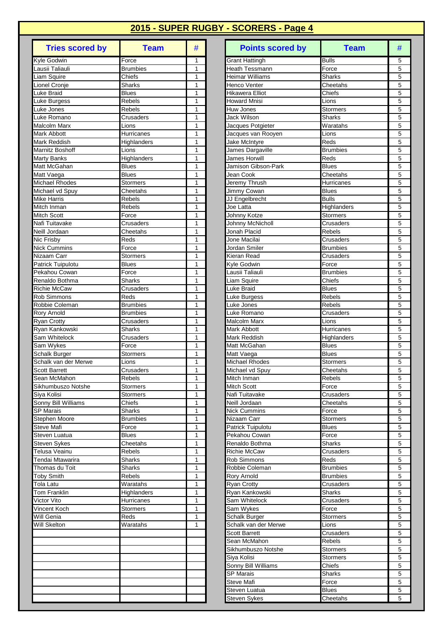| <b>Tries scored by</b>                | <b>Team</b>               | #                            |
|---------------------------------------|---------------------------|------------------------------|
| Kyle Godwin                           | Force                     | 1                            |
| Lausii Taliauli                       | <b>Brumbies</b>           | 1                            |
| Liam Squire                           | Chiefs                    | 1                            |
| Lionel Cronje<br>Luke Braid           | Sharks<br><b>Blues</b>    | 1<br>1                       |
| Luke Burgess                          | Rebels                    | 1                            |
| Luke Jones                            | Rebels                    | $\overline{1}$               |
| Luke Romano                           | Crusaders                 | 1                            |
| Malcolm Marx                          | Lions                     | 1                            |
| Mark Abbott                           | Hurricanes                | 1                            |
| Mark Reddish                          | Highlanders               | 1                            |
| Marnitz Boshoff<br><b>Marty Banks</b> | Lions<br>Highlanders      | 1<br>1                       |
| Matt McGahan                          | Blues                     | 1                            |
| Matt Vaega                            | <b>Blues</b>              | 1                            |
| <b>Michael Rhodes</b>                 | Stormers                  | 1                            |
| Michael vd Spuy                       | Cheetahs                  | 1                            |
| Mike Harris                           | Rebels                    | 1                            |
| Mitch Inman                           | Rebels                    | 1                            |
| <b>Mitch Scott</b>                    | Force                     | 1                            |
| Nafi Tuitavake<br>Neill Jordaan       | Crusaders<br>Cheetahs     | 1<br>1                       |
| Nic Frisby                            | Reds                      | 1                            |
| <b>Nick Cummins</b>                   | Force                     | 1                            |
| Nizaam Carr                           | Stormers                  | 1                            |
| Patrick Tuipulotu                     | <b>Blues</b>              | 1                            |
| Pekahou Cowan                         | Force                     | 1                            |
| Renaldo Bothma                        | Sharks                    | 1                            |
| <b>Richie McCaw</b>                   | Crusaders                 | 1                            |
| Rob Simmons<br>Robbie Coleman         | Reds<br>Brumbies          | 1<br>1                       |
| Rory Arnold                           | <b>Brumbies</b>           | $\overline{1}$               |
| <b>Ryan Crotty</b>                    | Crusaders                 | $\overline{1}$               |
| Ryan Kankowski                        | Sharks                    | 1                            |
| Sam Whitelock                         | Crusaders                 | 1                            |
| Sam Wykes                             | Force                     | 1                            |
| Schalk Burger                         | Stormers                  | 1                            |
| Schalk van der Merwe<br>Scott Barrett | Lions<br>Crusaders        | 1<br>$\overline{\mathbf{1}}$ |
| Sean McMahon                          | Rebels                    | 1                            |
| Sikhumbuszo Notshe                    | <b>Stormers</b>           | 1                            |
| Siya Kolisi                           | <b>Stormers</b>           | 1                            |
| Sonny Bill Williams                   | Chiefs                    | 1                            |
| <b>SP Marais</b>                      | Sharks                    | 1                            |
| Stephen Moore                         | <b>Brumbies</b>           | 1<br>$\mathbf{1}$            |
| Steve Mafi<br>Steven Luatua           | Force<br><b>Blues</b>     | 1                            |
| Steven Sykes                          | Cheetahs                  | 1                            |
| Telusa Veainu                         | Rebels                    | 1                            |
| Tendai Mtawarira                      | Sharks                    | 1                            |
| Thomas du Toit                        | Sharks                    | 1                            |
| <b>Toby Smith</b>                     | Rebels                    | 1                            |
| Tola Latu                             | Waratahs                  | 1                            |
| Tom Franklin<br>Victor Vito           | Highlanders<br>Hurricanes | 1<br>1                       |
| Vincent Koch                          | Stormers                  | 1                            |
| Will Genia                            | Reds                      | 1                            |
| Will Skelton                          | Waratahs                  | 1                            |
|                                       |                           |                              |
|                                       |                           |                              |
|                                       |                           |                              |
|                                       |                           |                              |
|                                       |                           |                              |
|                                       |                           |                              |
|                                       |                           |                              |
|                                       |                           |                              |

| <b>Bulls</b><br>5<br>Force<br><b>Grant Hattingh</b><br>1<br>5<br>$\mathbf{1}$<br>Heath Tessmann<br>Force<br><b>Brumbies</b><br>Liam Squire<br>Chiefs<br>5<br>1<br>Heimar Williams<br><b>Sharks</b><br>5<br>Lionel Cronje<br><b>Sharks</b><br>$\mathbf{1}$<br>Henco Venter<br>Cheetahs<br>5<br>Hikawera Elliot<br>Luke Braid<br><b>Blues</b><br>1<br>Chiefs<br>5<br>Luke Burgess<br><b>Rebels</b><br>1<br>Howard Mnisi<br>Lions<br>5<br>Rebels<br>Luke Jones<br>1<br>Huw Jones<br><b>Stormers</b><br><b>Jack Wilson</b><br>5<br>Luke Romano<br>$\mathbf{1}$<br><b>Sharks</b><br>Crusaders<br>Malcolm Marx<br>5<br>Lions<br>Jacques Potgieter<br>Waratahs<br>1<br>$\mathbf 5$<br>Jacques van Rooyen<br>Hurricanes<br>1<br>Lions<br>5<br>$\mathbf{1}$<br>Jake McIntyre<br>Highlanders<br>Reds<br>5<br>James Dargaville<br>Lions<br>1<br>Brumbies<br>5<br>1<br>James Horwill<br>Highlanders<br>Reds<br>5<br><b>Blues</b><br>$\mathbf{1}$<br>Jamison Gibson-Park<br><b>Blues</b><br><b>Blues</b><br>5<br>1<br>Jean Cook<br>Cheetahs<br>5<br>Jeremy Thrush<br>Michael Rhodes<br>Stormers<br>1<br>Hurricanes<br>5<br>Michael vd Spuy<br>1<br>Jimmy Cowan<br><b>Blues</b><br>Cheetahs<br>$\mathbf{1}$<br><b>Bulls</b><br>5<br><b>Mike Harris</b><br><b>Rebels</b><br>JJ Engelbrecht<br>Mitch Inman<br>5<br><b>Rebels</b><br>Joe Latta<br>1<br>Highlanders<br>5<br><b>Mitch Scott</b><br>Force<br>1<br>Johnny Kotze<br>Stormers<br>Nafi Tuitavake<br>Johnny McNicholl<br>Crusaders<br>5<br>Crusaders<br>1<br>5<br>Neill Jordaan<br>Jonah Placid<br>Cheetahs<br>1<br>Rebels<br>5<br>Nic Frisby<br>Reds<br>1<br>Jone Macilai<br>Crusaders<br>5<br>Force<br>1<br>Jordan Smiler<br><b>Brumbies</b><br>5<br>$\mathbf{1}$<br>Kieran Read<br><b>Stormers</b><br>Crusaders<br>5<br>Blues<br>Kyle Godwin<br>1<br>Force<br>5<br>Force<br>Lausii Taliauli<br>1<br>Brumbies<br>5<br>Sharks<br>1<br>Liam Squire<br>Chiefs<br>5<br>1<br><b>Richie McCaw</b><br><b>Blues</b><br>Crusaders<br>Luke Braid<br>5<br><b>Rob Simmons</b><br>Reds<br>$\mathbf{1}$<br>Luke Burgess<br>Rebels<br>5<br>Robbie Coleman<br><b>Brumbies</b><br>1<br>Luke Jones<br><b>Rebels</b><br>5<br>Rory Arnold<br><b>Brumbies</b><br>1<br>Luke Romano<br>Crusaders<br>5<br>1<br>Crusaders<br>Malcolm Marx<br>Lions<br><b>Ryan Crotty</b><br>5<br>Ryan Kankowski<br>Sharks<br>1<br>Mark Abbott<br>Hurricanes<br>5<br>Sam Whitelock<br>Crusaders<br>1<br>Mark Reddish<br>Highlanders<br>5<br>Sam Wykes<br>Force<br>$\mathbf{1}$<br>Matt McGahan<br><b>Blues</b><br>Schalk Burger<br><b>Stormers</b><br>Matt Vaega<br><b>Blues</b><br>5<br>1<br>5<br>Michael Rhodes<br>Lions<br>1<br><b>Stormers</b><br>5<br>$\mathbf{1}$<br>Crusaders<br>Michael vd Spuy<br>Cheetahs<br>Rebels<br>$\overline{1}$<br>Mitch Inman<br>$\overline{5}$<br>Rebels<br>5<br>1<br>Stormers<br>Mitch Scott<br>Force<br>Siya Kolisi<br>Nafi Tuitavake<br><b>Stormers</b><br>$\mathbf{1}$<br>Crusaders<br>5<br>Sonny Bill Williams<br>1<br>Neill Jordaan<br>5<br>Chiefs<br>Cheetahs<br>5<br><b>SP Marais</b><br>Sharks<br>Nick Cummins<br>Force<br>1<br>5<br>Nizaam Carr<br>Stephen Moore<br><b>Brumbies</b><br>1<br>Stormers<br>Steve Mafi<br>Force<br>1<br>5<br>Patrick Tuipulotu<br><b>Blues</b><br>5<br>$\mathbf{1}$<br>Steven Luatua<br><b>Blues</b><br>Pekahou Cowan<br>Force<br>1<br>5<br><b>Steven Sykes</b><br>Cheetahs<br>Renaldo Bothma<br><b>Sharks</b><br>5<br>Telusa Veainu<br>Rebels<br>1<br>Richie McCaw<br>Crusaders<br>5<br>Sharks<br>1<br>Rob Simmons<br>Reds<br>5<br>1<br>Robbie Coleman<br>Sharks<br><b>Brumbies</b><br>5<br>Rebels<br>$\mathbf{1}$<br>Rory Arnold<br><b>Brumbies</b><br>1<br>5<br>Waratahs<br><b>Ryan Crotty</b><br>Crusaders<br>5<br>1<br>Ryan Kankowski<br>Highlanders<br>Sharks<br>5<br>Hurricanes<br>1<br>Sam Whitelock<br>Crusaders<br>5<br>Vincent Koch<br>1<br><b>Stormers</b><br>Sam Wykes<br>Force<br>1<br>5<br>Will Genia<br>Reds<br>Schalk Burger<br><b>Stormers</b><br>5<br>Will Skelton<br>Waratahs<br>$\mathbf{1}$<br>Schalk van der Merwe<br>Lions<br>5<br><b>Scott Barrett</b><br>Crusaders<br><b>Rebels</b><br>Sean McMahon<br>5<br>5<br>Sikhumbuszo Notshe<br>Stormers<br>5<br>Siya Kolisi<br>Stormers<br>5<br>Sonny Bill Williams<br>Chiefs<br><b>SP Marais</b><br>5<br><b>Sharks</b><br>Steve Mafi<br>5<br>Force<br>Steven Luatua<br><b>Blues</b><br>5<br>5<br>Cheetahs<br>Steven Sykes | <b>Tries scored by</b> | <b>Team</b> | # | <b>Points scored by</b> | <b>Team</b> | # |
|---------------------------------------------------------------------------------------------------------------------------------------------------------------------------------------------------------------------------------------------------------------------------------------------------------------------------------------------------------------------------------------------------------------------------------------------------------------------------------------------------------------------------------------------------------------------------------------------------------------------------------------------------------------------------------------------------------------------------------------------------------------------------------------------------------------------------------------------------------------------------------------------------------------------------------------------------------------------------------------------------------------------------------------------------------------------------------------------------------------------------------------------------------------------------------------------------------------------------------------------------------------------------------------------------------------------------------------------------------------------------------------------------------------------------------------------------------------------------------------------------------------------------------------------------------------------------------------------------------------------------------------------------------------------------------------------------------------------------------------------------------------------------------------------------------------------------------------------------------------------------------------------------------------------------------------------------------------------------------------------------------------------------------------------------------------------------------------------------------------------------------------------------------------------------------------------------------------------------------------------------------------------------------------------------------------------------------------------------------------------------------------------------------------------------------------------------------------------------------------------------------------------------------------------------------------------------------------------------------------------------------------------------------------------------------------------------------------------------------------------------------------------------------------------------------------------------------------------------------------------------------------------------------------------------------------------------------------------------------------------------------------------------------------------------------------------------------------------------------------------------------------------------------------------------------------------------------------------------------------------------------------------------------------------------------------------------------------------------------------------------------------------------------------------------------------------------------------------------------------------------------------------------------------------------------------------------------------------------------------------------------------------------------------------------------------------------------------------------------------------------------------------------------------------------------------------------------------------------------------------------------------------------------------------------------------------------------------------------------------------------------------------------------------------------------------------------------------------------------------------------------------------------------------------------------------------------------------------------------------------------------------------------------------------------------------------------------------------------------------------|------------------------|-------------|---|-------------------------|-------------|---|
|                                                                                                                                                                                                                                                                                                                                                                                                                                                                                                                                                                                                                                                                                                                                                                                                                                                                                                                                                                                                                                                                                                                                                                                                                                                                                                                                                                                                                                                                                                                                                                                                                                                                                                                                                                                                                                                                                                                                                                                                                                                                                                                                                                                                                                                                                                                                                                                                                                                                                                                                                                                                                                                                                                                                                                                                                                                                                                                                                                                                                                                                                                                                                                                                                                                                                                                                                                                                                                                                                                                                                                                                                                                                                                                                                                                                                                                                                                                                                                                                                                                                                                                                                                                                                                                                                                                                                                     | Kyle Godwin            |             |   |                         |             |   |
|                                                                                                                                                                                                                                                                                                                                                                                                                                                                                                                                                                                                                                                                                                                                                                                                                                                                                                                                                                                                                                                                                                                                                                                                                                                                                                                                                                                                                                                                                                                                                                                                                                                                                                                                                                                                                                                                                                                                                                                                                                                                                                                                                                                                                                                                                                                                                                                                                                                                                                                                                                                                                                                                                                                                                                                                                                                                                                                                                                                                                                                                                                                                                                                                                                                                                                                                                                                                                                                                                                                                                                                                                                                                                                                                                                                                                                                                                                                                                                                                                                                                                                                                                                                                                                                                                                                                                                     | Lausii Taliauli        |             |   |                         |             |   |
|                                                                                                                                                                                                                                                                                                                                                                                                                                                                                                                                                                                                                                                                                                                                                                                                                                                                                                                                                                                                                                                                                                                                                                                                                                                                                                                                                                                                                                                                                                                                                                                                                                                                                                                                                                                                                                                                                                                                                                                                                                                                                                                                                                                                                                                                                                                                                                                                                                                                                                                                                                                                                                                                                                                                                                                                                                                                                                                                                                                                                                                                                                                                                                                                                                                                                                                                                                                                                                                                                                                                                                                                                                                                                                                                                                                                                                                                                                                                                                                                                                                                                                                                                                                                                                                                                                                                                                     |                        |             |   |                         |             |   |
|                                                                                                                                                                                                                                                                                                                                                                                                                                                                                                                                                                                                                                                                                                                                                                                                                                                                                                                                                                                                                                                                                                                                                                                                                                                                                                                                                                                                                                                                                                                                                                                                                                                                                                                                                                                                                                                                                                                                                                                                                                                                                                                                                                                                                                                                                                                                                                                                                                                                                                                                                                                                                                                                                                                                                                                                                                                                                                                                                                                                                                                                                                                                                                                                                                                                                                                                                                                                                                                                                                                                                                                                                                                                                                                                                                                                                                                                                                                                                                                                                                                                                                                                                                                                                                                                                                                                                                     |                        |             |   |                         |             |   |
|                                                                                                                                                                                                                                                                                                                                                                                                                                                                                                                                                                                                                                                                                                                                                                                                                                                                                                                                                                                                                                                                                                                                                                                                                                                                                                                                                                                                                                                                                                                                                                                                                                                                                                                                                                                                                                                                                                                                                                                                                                                                                                                                                                                                                                                                                                                                                                                                                                                                                                                                                                                                                                                                                                                                                                                                                                                                                                                                                                                                                                                                                                                                                                                                                                                                                                                                                                                                                                                                                                                                                                                                                                                                                                                                                                                                                                                                                                                                                                                                                                                                                                                                                                                                                                                                                                                                                                     |                        |             |   |                         |             |   |
|                                                                                                                                                                                                                                                                                                                                                                                                                                                                                                                                                                                                                                                                                                                                                                                                                                                                                                                                                                                                                                                                                                                                                                                                                                                                                                                                                                                                                                                                                                                                                                                                                                                                                                                                                                                                                                                                                                                                                                                                                                                                                                                                                                                                                                                                                                                                                                                                                                                                                                                                                                                                                                                                                                                                                                                                                                                                                                                                                                                                                                                                                                                                                                                                                                                                                                                                                                                                                                                                                                                                                                                                                                                                                                                                                                                                                                                                                                                                                                                                                                                                                                                                                                                                                                                                                                                                                                     |                        |             |   |                         |             |   |
|                                                                                                                                                                                                                                                                                                                                                                                                                                                                                                                                                                                                                                                                                                                                                                                                                                                                                                                                                                                                                                                                                                                                                                                                                                                                                                                                                                                                                                                                                                                                                                                                                                                                                                                                                                                                                                                                                                                                                                                                                                                                                                                                                                                                                                                                                                                                                                                                                                                                                                                                                                                                                                                                                                                                                                                                                                                                                                                                                                                                                                                                                                                                                                                                                                                                                                                                                                                                                                                                                                                                                                                                                                                                                                                                                                                                                                                                                                                                                                                                                                                                                                                                                                                                                                                                                                                                                                     |                        |             |   |                         |             |   |
|                                                                                                                                                                                                                                                                                                                                                                                                                                                                                                                                                                                                                                                                                                                                                                                                                                                                                                                                                                                                                                                                                                                                                                                                                                                                                                                                                                                                                                                                                                                                                                                                                                                                                                                                                                                                                                                                                                                                                                                                                                                                                                                                                                                                                                                                                                                                                                                                                                                                                                                                                                                                                                                                                                                                                                                                                                                                                                                                                                                                                                                                                                                                                                                                                                                                                                                                                                                                                                                                                                                                                                                                                                                                                                                                                                                                                                                                                                                                                                                                                                                                                                                                                                                                                                                                                                                                                                     |                        |             |   |                         |             |   |
|                                                                                                                                                                                                                                                                                                                                                                                                                                                                                                                                                                                                                                                                                                                                                                                                                                                                                                                                                                                                                                                                                                                                                                                                                                                                                                                                                                                                                                                                                                                                                                                                                                                                                                                                                                                                                                                                                                                                                                                                                                                                                                                                                                                                                                                                                                                                                                                                                                                                                                                                                                                                                                                                                                                                                                                                                                                                                                                                                                                                                                                                                                                                                                                                                                                                                                                                                                                                                                                                                                                                                                                                                                                                                                                                                                                                                                                                                                                                                                                                                                                                                                                                                                                                                                                                                                                                                                     | Mark Abbott            |             |   |                         |             |   |
|                                                                                                                                                                                                                                                                                                                                                                                                                                                                                                                                                                                                                                                                                                                                                                                                                                                                                                                                                                                                                                                                                                                                                                                                                                                                                                                                                                                                                                                                                                                                                                                                                                                                                                                                                                                                                                                                                                                                                                                                                                                                                                                                                                                                                                                                                                                                                                                                                                                                                                                                                                                                                                                                                                                                                                                                                                                                                                                                                                                                                                                                                                                                                                                                                                                                                                                                                                                                                                                                                                                                                                                                                                                                                                                                                                                                                                                                                                                                                                                                                                                                                                                                                                                                                                                                                                                                                                     | Mark Reddish           |             |   |                         |             |   |
|                                                                                                                                                                                                                                                                                                                                                                                                                                                                                                                                                                                                                                                                                                                                                                                                                                                                                                                                                                                                                                                                                                                                                                                                                                                                                                                                                                                                                                                                                                                                                                                                                                                                                                                                                                                                                                                                                                                                                                                                                                                                                                                                                                                                                                                                                                                                                                                                                                                                                                                                                                                                                                                                                                                                                                                                                                                                                                                                                                                                                                                                                                                                                                                                                                                                                                                                                                                                                                                                                                                                                                                                                                                                                                                                                                                                                                                                                                                                                                                                                                                                                                                                                                                                                                                                                                                                                                     | Marnitz Boshoff        |             |   |                         |             |   |
|                                                                                                                                                                                                                                                                                                                                                                                                                                                                                                                                                                                                                                                                                                                                                                                                                                                                                                                                                                                                                                                                                                                                                                                                                                                                                                                                                                                                                                                                                                                                                                                                                                                                                                                                                                                                                                                                                                                                                                                                                                                                                                                                                                                                                                                                                                                                                                                                                                                                                                                                                                                                                                                                                                                                                                                                                                                                                                                                                                                                                                                                                                                                                                                                                                                                                                                                                                                                                                                                                                                                                                                                                                                                                                                                                                                                                                                                                                                                                                                                                                                                                                                                                                                                                                                                                                                                                                     | Marty Banks            |             |   |                         |             |   |
|                                                                                                                                                                                                                                                                                                                                                                                                                                                                                                                                                                                                                                                                                                                                                                                                                                                                                                                                                                                                                                                                                                                                                                                                                                                                                                                                                                                                                                                                                                                                                                                                                                                                                                                                                                                                                                                                                                                                                                                                                                                                                                                                                                                                                                                                                                                                                                                                                                                                                                                                                                                                                                                                                                                                                                                                                                                                                                                                                                                                                                                                                                                                                                                                                                                                                                                                                                                                                                                                                                                                                                                                                                                                                                                                                                                                                                                                                                                                                                                                                                                                                                                                                                                                                                                                                                                                                                     | Matt McGahan           |             |   |                         |             |   |
|                                                                                                                                                                                                                                                                                                                                                                                                                                                                                                                                                                                                                                                                                                                                                                                                                                                                                                                                                                                                                                                                                                                                                                                                                                                                                                                                                                                                                                                                                                                                                                                                                                                                                                                                                                                                                                                                                                                                                                                                                                                                                                                                                                                                                                                                                                                                                                                                                                                                                                                                                                                                                                                                                                                                                                                                                                                                                                                                                                                                                                                                                                                                                                                                                                                                                                                                                                                                                                                                                                                                                                                                                                                                                                                                                                                                                                                                                                                                                                                                                                                                                                                                                                                                                                                                                                                                                                     | Matt Vaega             |             |   |                         |             |   |
|                                                                                                                                                                                                                                                                                                                                                                                                                                                                                                                                                                                                                                                                                                                                                                                                                                                                                                                                                                                                                                                                                                                                                                                                                                                                                                                                                                                                                                                                                                                                                                                                                                                                                                                                                                                                                                                                                                                                                                                                                                                                                                                                                                                                                                                                                                                                                                                                                                                                                                                                                                                                                                                                                                                                                                                                                                                                                                                                                                                                                                                                                                                                                                                                                                                                                                                                                                                                                                                                                                                                                                                                                                                                                                                                                                                                                                                                                                                                                                                                                                                                                                                                                                                                                                                                                                                                                                     |                        |             |   |                         |             |   |
|                                                                                                                                                                                                                                                                                                                                                                                                                                                                                                                                                                                                                                                                                                                                                                                                                                                                                                                                                                                                                                                                                                                                                                                                                                                                                                                                                                                                                                                                                                                                                                                                                                                                                                                                                                                                                                                                                                                                                                                                                                                                                                                                                                                                                                                                                                                                                                                                                                                                                                                                                                                                                                                                                                                                                                                                                                                                                                                                                                                                                                                                                                                                                                                                                                                                                                                                                                                                                                                                                                                                                                                                                                                                                                                                                                                                                                                                                                                                                                                                                                                                                                                                                                                                                                                                                                                                                                     |                        |             |   |                         |             |   |
|                                                                                                                                                                                                                                                                                                                                                                                                                                                                                                                                                                                                                                                                                                                                                                                                                                                                                                                                                                                                                                                                                                                                                                                                                                                                                                                                                                                                                                                                                                                                                                                                                                                                                                                                                                                                                                                                                                                                                                                                                                                                                                                                                                                                                                                                                                                                                                                                                                                                                                                                                                                                                                                                                                                                                                                                                                                                                                                                                                                                                                                                                                                                                                                                                                                                                                                                                                                                                                                                                                                                                                                                                                                                                                                                                                                                                                                                                                                                                                                                                                                                                                                                                                                                                                                                                                                                                                     |                        |             |   |                         |             |   |
|                                                                                                                                                                                                                                                                                                                                                                                                                                                                                                                                                                                                                                                                                                                                                                                                                                                                                                                                                                                                                                                                                                                                                                                                                                                                                                                                                                                                                                                                                                                                                                                                                                                                                                                                                                                                                                                                                                                                                                                                                                                                                                                                                                                                                                                                                                                                                                                                                                                                                                                                                                                                                                                                                                                                                                                                                                                                                                                                                                                                                                                                                                                                                                                                                                                                                                                                                                                                                                                                                                                                                                                                                                                                                                                                                                                                                                                                                                                                                                                                                                                                                                                                                                                                                                                                                                                                                                     |                        |             |   |                         |             |   |
|                                                                                                                                                                                                                                                                                                                                                                                                                                                                                                                                                                                                                                                                                                                                                                                                                                                                                                                                                                                                                                                                                                                                                                                                                                                                                                                                                                                                                                                                                                                                                                                                                                                                                                                                                                                                                                                                                                                                                                                                                                                                                                                                                                                                                                                                                                                                                                                                                                                                                                                                                                                                                                                                                                                                                                                                                                                                                                                                                                                                                                                                                                                                                                                                                                                                                                                                                                                                                                                                                                                                                                                                                                                                                                                                                                                                                                                                                                                                                                                                                                                                                                                                                                                                                                                                                                                                                                     |                        |             |   |                         |             |   |
|                                                                                                                                                                                                                                                                                                                                                                                                                                                                                                                                                                                                                                                                                                                                                                                                                                                                                                                                                                                                                                                                                                                                                                                                                                                                                                                                                                                                                                                                                                                                                                                                                                                                                                                                                                                                                                                                                                                                                                                                                                                                                                                                                                                                                                                                                                                                                                                                                                                                                                                                                                                                                                                                                                                                                                                                                                                                                                                                                                                                                                                                                                                                                                                                                                                                                                                                                                                                                                                                                                                                                                                                                                                                                                                                                                                                                                                                                                                                                                                                                                                                                                                                                                                                                                                                                                                                                                     |                        |             |   |                         |             |   |
|                                                                                                                                                                                                                                                                                                                                                                                                                                                                                                                                                                                                                                                                                                                                                                                                                                                                                                                                                                                                                                                                                                                                                                                                                                                                                                                                                                                                                                                                                                                                                                                                                                                                                                                                                                                                                                                                                                                                                                                                                                                                                                                                                                                                                                                                                                                                                                                                                                                                                                                                                                                                                                                                                                                                                                                                                                                                                                                                                                                                                                                                                                                                                                                                                                                                                                                                                                                                                                                                                                                                                                                                                                                                                                                                                                                                                                                                                                                                                                                                                                                                                                                                                                                                                                                                                                                                                                     |                        |             |   |                         |             |   |
|                                                                                                                                                                                                                                                                                                                                                                                                                                                                                                                                                                                                                                                                                                                                                                                                                                                                                                                                                                                                                                                                                                                                                                                                                                                                                                                                                                                                                                                                                                                                                                                                                                                                                                                                                                                                                                                                                                                                                                                                                                                                                                                                                                                                                                                                                                                                                                                                                                                                                                                                                                                                                                                                                                                                                                                                                                                                                                                                                                                                                                                                                                                                                                                                                                                                                                                                                                                                                                                                                                                                                                                                                                                                                                                                                                                                                                                                                                                                                                                                                                                                                                                                                                                                                                                                                                                                                                     | <b>Nick Cummins</b>    |             |   |                         |             |   |
|                                                                                                                                                                                                                                                                                                                                                                                                                                                                                                                                                                                                                                                                                                                                                                                                                                                                                                                                                                                                                                                                                                                                                                                                                                                                                                                                                                                                                                                                                                                                                                                                                                                                                                                                                                                                                                                                                                                                                                                                                                                                                                                                                                                                                                                                                                                                                                                                                                                                                                                                                                                                                                                                                                                                                                                                                                                                                                                                                                                                                                                                                                                                                                                                                                                                                                                                                                                                                                                                                                                                                                                                                                                                                                                                                                                                                                                                                                                                                                                                                                                                                                                                                                                                                                                                                                                                                                     | Nizaam Carr            |             |   |                         |             |   |
|                                                                                                                                                                                                                                                                                                                                                                                                                                                                                                                                                                                                                                                                                                                                                                                                                                                                                                                                                                                                                                                                                                                                                                                                                                                                                                                                                                                                                                                                                                                                                                                                                                                                                                                                                                                                                                                                                                                                                                                                                                                                                                                                                                                                                                                                                                                                                                                                                                                                                                                                                                                                                                                                                                                                                                                                                                                                                                                                                                                                                                                                                                                                                                                                                                                                                                                                                                                                                                                                                                                                                                                                                                                                                                                                                                                                                                                                                                                                                                                                                                                                                                                                                                                                                                                                                                                                                                     | Patrick Tuipulotu      |             |   |                         |             |   |
|                                                                                                                                                                                                                                                                                                                                                                                                                                                                                                                                                                                                                                                                                                                                                                                                                                                                                                                                                                                                                                                                                                                                                                                                                                                                                                                                                                                                                                                                                                                                                                                                                                                                                                                                                                                                                                                                                                                                                                                                                                                                                                                                                                                                                                                                                                                                                                                                                                                                                                                                                                                                                                                                                                                                                                                                                                                                                                                                                                                                                                                                                                                                                                                                                                                                                                                                                                                                                                                                                                                                                                                                                                                                                                                                                                                                                                                                                                                                                                                                                                                                                                                                                                                                                                                                                                                                                                     | Pekahou Cowan          |             |   |                         |             |   |
|                                                                                                                                                                                                                                                                                                                                                                                                                                                                                                                                                                                                                                                                                                                                                                                                                                                                                                                                                                                                                                                                                                                                                                                                                                                                                                                                                                                                                                                                                                                                                                                                                                                                                                                                                                                                                                                                                                                                                                                                                                                                                                                                                                                                                                                                                                                                                                                                                                                                                                                                                                                                                                                                                                                                                                                                                                                                                                                                                                                                                                                                                                                                                                                                                                                                                                                                                                                                                                                                                                                                                                                                                                                                                                                                                                                                                                                                                                                                                                                                                                                                                                                                                                                                                                                                                                                                                                     | Renaldo Bothma         |             |   |                         |             |   |
|                                                                                                                                                                                                                                                                                                                                                                                                                                                                                                                                                                                                                                                                                                                                                                                                                                                                                                                                                                                                                                                                                                                                                                                                                                                                                                                                                                                                                                                                                                                                                                                                                                                                                                                                                                                                                                                                                                                                                                                                                                                                                                                                                                                                                                                                                                                                                                                                                                                                                                                                                                                                                                                                                                                                                                                                                                                                                                                                                                                                                                                                                                                                                                                                                                                                                                                                                                                                                                                                                                                                                                                                                                                                                                                                                                                                                                                                                                                                                                                                                                                                                                                                                                                                                                                                                                                                                                     |                        |             |   |                         |             |   |
|                                                                                                                                                                                                                                                                                                                                                                                                                                                                                                                                                                                                                                                                                                                                                                                                                                                                                                                                                                                                                                                                                                                                                                                                                                                                                                                                                                                                                                                                                                                                                                                                                                                                                                                                                                                                                                                                                                                                                                                                                                                                                                                                                                                                                                                                                                                                                                                                                                                                                                                                                                                                                                                                                                                                                                                                                                                                                                                                                                                                                                                                                                                                                                                                                                                                                                                                                                                                                                                                                                                                                                                                                                                                                                                                                                                                                                                                                                                                                                                                                                                                                                                                                                                                                                                                                                                                                                     |                        |             |   |                         |             |   |
|                                                                                                                                                                                                                                                                                                                                                                                                                                                                                                                                                                                                                                                                                                                                                                                                                                                                                                                                                                                                                                                                                                                                                                                                                                                                                                                                                                                                                                                                                                                                                                                                                                                                                                                                                                                                                                                                                                                                                                                                                                                                                                                                                                                                                                                                                                                                                                                                                                                                                                                                                                                                                                                                                                                                                                                                                                                                                                                                                                                                                                                                                                                                                                                                                                                                                                                                                                                                                                                                                                                                                                                                                                                                                                                                                                                                                                                                                                                                                                                                                                                                                                                                                                                                                                                                                                                                                                     |                        |             |   |                         |             |   |
|                                                                                                                                                                                                                                                                                                                                                                                                                                                                                                                                                                                                                                                                                                                                                                                                                                                                                                                                                                                                                                                                                                                                                                                                                                                                                                                                                                                                                                                                                                                                                                                                                                                                                                                                                                                                                                                                                                                                                                                                                                                                                                                                                                                                                                                                                                                                                                                                                                                                                                                                                                                                                                                                                                                                                                                                                                                                                                                                                                                                                                                                                                                                                                                                                                                                                                                                                                                                                                                                                                                                                                                                                                                                                                                                                                                                                                                                                                                                                                                                                                                                                                                                                                                                                                                                                                                                                                     |                        |             |   |                         |             |   |
|                                                                                                                                                                                                                                                                                                                                                                                                                                                                                                                                                                                                                                                                                                                                                                                                                                                                                                                                                                                                                                                                                                                                                                                                                                                                                                                                                                                                                                                                                                                                                                                                                                                                                                                                                                                                                                                                                                                                                                                                                                                                                                                                                                                                                                                                                                                                                                                                                                                                                                                                                                                                                                                                                                                                                                                                                                                                                                                                                                                                                                                                                                                                                                                                                                                                                                                                                                                                                                                                                                                                                                                                                                                                                                                                                                                                                                                                                                                                                                                                                                                                                                                                                                                                                                                                                                                                                                     |                        |             |   |                         |             |   |
|                                                                                                                                                                                                                                                                                                                                                                                                                                                                                                                                                                                                                                                                                                                                                                                                                                                                                                                                                                                                                                                                                                                                                                                                                                                                                                                                                                                                                                                                                                                                                                                                                                                                                                                                                                                                                                                                                                                                                                                                                                                                                                                                                                                                                                                                                                                                                                                                                                                                                                                                                                                                                                                                                                                                                                                                                                                                                                                                                                                                                                                                                                                                                                                                                                                                                                                                                                                                                                                                                                                                                                                                                                                                                                                                                                                                                                                                                                                                                                                                                                                                                                                                                                                                                                                                                                                                                                     |                        |             |   |                         |             |   |
|                                                                                                                                                                                                                                                                                                                                                                                                                                                                                                                                                                                                                                                                                                                                                                                                                                                                                                                                                                                                                                                                                                                                                                                                                                                                                                                                                                                                                                                                                                                                                                                                                                                                                                                                                                                                                                                                                                                                                                                                                                                                                                                                                                                                                                                                                                                                                                                                                                                                                                                                                                                                                                                                                                                                                                                                                                                                                                                                                                                                                                                                                                                                                                                                                                                                                                                                                                                                                                                                                                                                                                                                                                                                                                                                                                                                                                                                                                                                                                                                                                                                                                                                                                                                                                                                                                                                                                     |                        |             |   |                         |             |   |
|                                                                                                                                                                                                                                                                                                                                                                                                                                                                                                                                                                                                                                                                                                                                                                                                                                                                                                                                                                                                                                                                                                                                                                                                                                                                                                                                                                                                                                                                                                                                                                                                                                                                                                                                                                                                                                                                                                                                                                                                                                                                                                                                                                                                                                                                                                                                                                                                                                                                                                                                                                                                                                                                                                                                                                                                                                                                                                                                                                                                                                                                                                                                                                                                                                                                                                                                                                                                                                                                                                                                                                                                                                                                                                                                                                                                                                                                                                                                                                                                                                                                                                                                                                                                                                                                                                                                                                     |                        |             |   |                         |             |   |
|                                                                                                                                                                                                                                                                                                                                                                                                                                                                                                                                                                                                                                                                                                                                                                                                                                                                                                                                                                                                                                                                                                                                                                                                                                                                                                                                                                                                                                                                                                                                                                                                                                                                                                                                                                                                                                                                                                                                                                                                                                                                                                                                                                                                                                                                                                                                                                                                                                                                                                                                                                                                                                                                                                                                                                                                                                                                                                                                                                                                                                                                                                                                                                                                                                                                                                                                                                                                                                                                                                                                                                                                                                                                                                                                                                                                                                                                                                                                                                                                                                                                                                                                                                                                                                                                                                                                                                     | Schalk van der Merwe   |             |   |                         |             |   |
|                                                                                                                                                                                                                                                                                                                                                                                                                                                                                                                                                                                                                                                                                                                                                                                                                                                                                                                                                                                                                                                                                                                                                                                                                                                                                                                                                                                                                                                                                                                                                                                                                                                                                                                                                                                                                                                                                                                                                                                                                                                                                                                                                                                                                                                                                                                                                                                                                                                                                                                                                                                                                                                                                                                                                                                                                                                                                                                                                                                                                                                                                                                                                                                                                                                                                                                                                                                                                                                                                                                                                                                                                                                                                                                                                                                                                                                                                                                                                                                                                                                                                                                                                                                                                                                                                                                                                                     | Scott Barrett          |             |   |                         |             |   |
|                                                                                                                                                                                                                                                                                                                                                                                                                                                                                                                                                                                                                                                                                                                                                                                                                                                                                                                                                                                                                                                                                                                                                                                                                                                                                                                                                                                                                                                                                                                                                                                                                                                                                                                                                                                                                                                                                                                                                                                                                                                                                                                                                                                                                                                                                                                                                                                                                                                                                                                                                                                                                                                                                                                                                                                                                                                                                                                                                                                                                                                                                                                                                                                                                                                                                                                                                                                                                                                                                                                                                                                                                                                                                                                                                                                                                                                                                                                                                                                                                                                                                                                                                                                                                                                                                                                                                                     | Sean McMahon           |             |   |                         |             |   |
|                                                                                                                                                                                                                                                                                                                                                                                                                                                                                                                                                                                                                                                                                                                                                                                                                                                                                                                                                                                                                                                                                                                                                                                                                                                                                                                                                                                                                                                                                                                                                                                                                                                                                                                                                                                                                                                                                                                                                                                                                                                                                                                                                                                                                                                                                                                                                                                                                                                                                                                                                                                                                                                                                                                                                                                                                                                                                                                                                                                                                                                                                                                                                                                                                                                                                                                                                                                                                                                                                                                                                                                                                                                                                                                                                                                                                                                                                                                                                                                                                                                                                                                                                                                                                                                                                                                                                                     | Sikhumbuszo Notshe     |             |   |                         |             |   |
|                                                                                                                                                                                                                                                                                                                                                                                                                                                                                                                                                                                                                                                                                                                                                                                                                                                                                                                                                                                                                                                                                                                                                                                                                                                                                                                                                                                                                                                                                                                                                                                                                                                                                                                                                                                                                                                                                                                                                                                                                                                                                                                                                                                                                                                                                                                                                                                                                                                                                                                                                                                                                                                                                                                                                                                                                                                                                                                                                                                                                                                                                                                                                                                                                                                                                                                                                                                                                                                                                                                                                                                                                                                                                                                                                                                                                                                                                                                                                                                                                                                                                                                                                                                                                                                                                                                                                                     |                        |             |   |                         |             |   |
|                                                                                                                                                                                                                                                                                                                                                                                                                                                                                                                                                                                                                                                                                                                                                                                                                                                                                                                                                                                                                                                                                                                                                                                                                                                                                                                                                                                                                                                                                                                                                                                                                                                                                                                                                                                                                                                                                                                                                                                                                                                                                                                                                                                                                                                                                                                                                                                                                                                                                                                                                                                                                                                                                                                                                                                                                                                                                                                                                                                                                                                                                                                                                                                                                                                                                                                                                                                                                                                                                                                                                                                                                                                                                                                                                                                                                                                                                                                                                                                                                                                                                                                                                                                                                                                                                                                                                                     |                        |             |   |                         |             |   |
|                                                                                                                                                                                                                                                                                                                                                                                                                                                                                                                                                                                                                                                                                                                                                                                                                                                                                                                                                                                                                                                                                                                                                                                                                                                                                                                                                                                                                                                                                                                                                                                                                                                                                                                                                                                                                                                                                                                                                                                                                                                                                                                                                                                                                                                                                                                                                                                                                                                                                                                                                                                                                                                                                                                                                                                                                                                                                                                                                                                                                                                                                                                                                                                                                                                                                                                                                                                                                                                                                                                                                                                                                                                                                                                                                                                                                                                                                                                                                                                                                                                                                                                                                                                                                                                                                                                                                                     |                        |             |   |                         |             |   |
|                                                                                                                                                                                                                                                                                                                                                                                                                                                                                                                                                                                                                                                                                                                                                                                                                                                                                                                                                                                                                                                                                                                                                                                                                                                                                                                                                                                                                                                                                                                                                                                                                                                                                                                                                                                                                                                                                                                                                                                                                                                                                                                                                                                                                                                                                                                                                                                                                                                                                                                                                                                                                                                                                                                                                                                                                                                                                                                                                                                                                                                                                                                                                                                                                                                                                                                                                                                                                                                                                                                                                                                                                                                                                                                                                                                                                                                                                                                                                                                                                                                                                                                                                                                                                                                                                                                                                                     |                        |             |   |                         |             |   |
|                                                                                                                                                                                                                                                                                                                                                                                                                                                                                                                                                                                                                                                                                                                                                                                                                                                                                                                                                                                                                                                                                                                                                                                                                                                                                                                                                                                                                                                                                                                                                                                                                                                                                                                                                                                                                                                                                                                                                                                                                                                                                                                                                                                                                                                                                                                                                                                                                                                                                                                                                                                                                                                                                                                                                                                                                                                                                                                                                                                                                                                                                                                                                                                                                                                                                                                                                                                                                                                                                                                                                                                                                                                                                                                                                                                                                                                                                                                                                                                                                                                                                                                                                                                                                                                                                                                                                                     |                        |             |   |                         |             |   |
|                                                                                                                                                                                                                                                                                                                                                                                                                                                                                                                                                                                                                                                                                                                                                                                                                                                                                                                                                                                                                                                                                                                                                                                                                                                                                                                                                                                                                                                                                                                                                                                                                                                                                                                                                                                                                                                                                                                                                                                                                                                                                                                                                                                                                                                                                                                                                                                                                                                                                                                                                                                                                                                                                                                                                                                                                                                                                                                                                                                                                                                                                                                                                                                                                                                                                                                                                                                                                                                                                                                                                                                                                                                                                                                                                                                                                                                                                                                                                                                                                                                                                                                                                                                                                                                                                                                                                                     |                        |             |   |                         |             |   |
|                                                                                                                                                                                                                                                                                                                                                                                                                                                                                                                                                                                                                                                                                                                                                                                                                                                                                                                                                                                                                                                                                                                                                                                                                                                                                                                                                                                                                                                                                                                                                                                                                                                                                                                                                                                                                                                                                                                                                                                                                                                                                                                                                                                                                                                                                                                                                                                                                                                                                                                                                                                                                                                                                                                                                                                                                                                                                                                                                                                                                                                                                                                                                                                                                                                                                                                                                                                                                                                                                                                                                                                                                                                                                                                                                                                                                                                                                                                                                                                                                                                                                                                                                                                                                                                                                                                                                                     |                        |             |   |                         |             |   |
|                                                                                                                                                                                                                                                                                                                                                                                                                                                                                                                                                                                                                                                                                                                                                                                                                                                                                                                                                                                                                                                                                                                                                                                                                                                                                                                                                                                                                                                                                                                                                                                                                                                                                                                                                                                                                                                                                                                                                                                                                                                                                                                                                                                                                                                                                                                                                                                                                                                                                                                                                                                                                                                                                                                                                                                                                                                                                                                                                                                                                                                                                                                                                                                                                                                                                                                                                                                                                                                                                                                                                                                                                                                                                                                                                                                                                                                                                                                                                                                                                                                                                                                                                                                                                                                                                                                                                                     | Tendai Mtawarira       |             |   |                         |             |   |
|                                                                                                                                                                                                                                                                                                                                                                                                                                                                                                                                                                                                                                                                                                                                                                                                                                                                                                                                                                                                                                                                                                                                                                                                                                                                                                                                                                                                                                                                                                                                                                                                                                                                                                                                                                                                                                                                                                                                                                                                                                                                                                                                                                                                                                                                                                                                                                                                                                                                                                                                                                                                                                                                                                                                                                                                                                                                                                                                                                                                                                                                                                                                                                                                                                                                                                                                                                                                                                                                                                                                                                                                                                                                                                                                                                                                                                                                                                                                                                                                                                                                                                                                                                                                                                                                                                                                                                     | Thomas du Toit         |             |   |                         |             |   |
|                                                                                                                                                                                                                                                                                                                                                                                                                                                                                                                                                                                                                                                                                                                                                                                                                                                                                                                                                                                                                                                                                                                                                                                                                                                                                                                                                                                                                                                                                                                                                                                                                                                                                                                                                                                                                                                                                                                                                                                                                                                                                                                                                                                                                                                                                                                                                                                                                                                                                                                                                                                                                                                                                                                                                                                                                                                                                                                                                                                                                                                                                                                                                                                                                                                                                                                                                                                                                                                                                                                                                                                                                                                                                                                                                                                                                                                                                                                                                                                                                                                                                                                                                                                                                                                                                                                                                                     | <b>Toby Smith</b>      |             |   |                         |             |   |
|                                                                                                                                                                                                                                                                                                                                                                                                                                                                                                                                                                                                                                                                                                                                                                                                                                                                                                                                                                                                                                                                                                                                                                                                                                                                                                                                                                                                                                                                                                                                                                                                                                                                                                                                                                                                                                                                                                                                                                                                                                                                                                                                                                                                                                                                                                                                                                                                                                                                                                                                                                                                                                                                                                                                                                                                                                                                                                                                                                                                                                                                                                                                                                                                                                                                                                                                                                                                                                                                                                                                                                                                                                                                                                                                                                                                                                                                                                                                                                                                                                                                                                                                                                                                                                                                                                                                                                     | Tola Latu              |             |   |                         |             |   |
|                                                                                                                                                                                                                                                                                                                                                                                                                                                                                                                                                                                                                                                                                                                                                                                                                                                                                                                                                                                                                                                                                                                                                                                                                                                                                                                                                                                                                                                                                                                                                                                                                                                                                                                                                                                                                                                                                                                                                                                                                                                                                                                                                                                                                                                                                                                                                                                                                                                                                                                                                                                                                                                                                                                                                                                                                                                                                                                                                                                                                                                                                                                                                                                                                                                                                                                                                                                                                                                                                                                                                                                                                                                                                                                                                                                                                                                                                                                                                                                                                                                                                                                                                                                                                                                                                                                                                                     | Tom Franklin           |             |   |                         |             |   |
|                                                                                                                                                                                                                                                                                                                                                                                                                                                                                                                                                                                                                                                                                                                                                                                                                                                                                                                                                                                                                                                                                                                                                                                                                                                                                                                                                                                                                                                                                                                                                                                                                                                                                                                                                                                                                                                                                                                                                                                                                                                                                                                                                                                                                                                                                                                                                                                                                                                                                                                                                                                                                                                                                                                                                                                                                                                                                                                                                                                                                                                                                                                                                                                                                                                                                                                                                                                                                                                                                                                                                                                                                                                                                                                                                                                                                                                                                                                                                                                                                                                                                                                                                                                                                                                                                                                                                                     | Victor Vito            |             |   |                         |             |   |
|                                                                                                                                                                                                                                                                                                                                                                                                                                                                                                                                                                                                                                                                                                                                                                                                                                                                                                                                                                                                                                                                                                                                                                                                                                                                                                                                                                                                                                                                                                                                                                                                                                                                                                                                                                                                                                                                                                                                                                                                                                                                                                                                                                                                                                                                                                                                                                                                                                                                                                                                                                                                                                                                                                                                                                                                                                                                                                                                                                                                                                                                                                                                                                                                                                                                                                                                                                                                                                                                                                                                                                                                                                                                                                                                                                                                                                                                                                                                                                                                                                                                                                                                                                                                                                                                                                                                                                     |                        |             |   |                         |             |   |
|                                                                                                                                                                                                                                                                                                                                                                                                                                                                                                                                                                                                                                                                                                                                                                                                                                                                                                                                                                                                                                                                                                                                                                                                                                                                                                                                                                                                                                                                                                                                                                                                                                                                                                                                                                                                                                                                                                                                                                                                                                                                                                                                                                                                                                                                                                                                                                                                                                                                                                                                                                                                                                                                                                                                                                                                                                                                                                                                                                                                                                                                                                                                                                                                                                                                                                                                                                                                                                                                                                                                                                                                                                                                                                                                                                                                                                                                                                                                                                                                                                                                                                                                                                                                                                                                                                                                                                     |                        |             |   |                         |             |   |
|                                                                                                                                                                                                                                                                                                                                                                                                                                                                                                                                                                                                                                                                                                                                                                                                                                                                                                                                                                                                                                                                                                                                                                                                                                                                                                                                                                                                                                                                                                                                                                                                                                                                                                                                                                                                                                                                                                                                                                                                                                                                                                                                                                                                                                                                                                                                                                                                                                                                                                                                                                                                                                                                                                                                                                                                                                                                                                                                                                                                                                                                                                                                                                                                                                                                                                                                                                                                                                                                                                                                                                                                                                                                                                                                                                                                                                                                                                                                                                                                                                                                                                                                                                                                                                                                                                                                                                     |                        |             |   |                         |             |   |
|                                                                                                                                                                                                                                                                                                                                                                                                                                                                                                                                                                                                                                                                                                                                                                                                                                                                                                                                                                                                                                                                                                                                                                                                                                                                                                                                                                                                                                                                                                                                                                                                                                                                                                                                                                                                                                                                                                                                                                                                                                                                                                                                                                                                                                                                                                                                                                                                                                                                                                                                                                                                                                                                                                                                                                                                                                                                                                                                                                                                                                                                                                                                                                                                                                                                                                                                                                                                                                                                                                                                                                                                                                                                                                                                                                                                                                                                                                                                                                                                                                                                                                                                                                                                                                                                                                                                                                     |                        |             |   |                         |             |   |
|                                                                                                                                                                                                                                                                                                                                                                                                                                                                                                                                                                                                                                                                                                                                                                                                                                                                                                                                                                                                                                                                                                                                                                                                                                                                                                                                                                                                                                                                                                                                                                                                                                                                                                                                                                                                                                                                                                                                                                                                                                                                                                                                                                                                                                                                                                                                                                                                                                                                                                                                                                                                                                                                                                                                                                                                                                                                                                                                                                                                                                                                                                                                                                                                                                                                                                                                                                                                                                                                                                                                                                                                                                                                                                                                                                                                                                                                                                                                                                                                                                                                                                                                                                                                                                                                                                                                                                     |                        |             |   |                         |             |   |
|                                                                                                                                                                                                                                                                                                                                                                                                                                                                                                                                                                                                                                                                                                                                                                                                                                                                                                                                                                                                                                                                                                                                                                                                                                                                                                                                                                                                                                                                                                                                                                                                                                                                                                                                                                                                                                                                                                                                                                                                                                                                                                                                                                                                                                                                                                                                                                                                                                                                                                                                                                                                                                                                                                                                                                                                                                                                                                                                                                                                                                                                                                                                                                                                                                                                                                                                                                                                                                                                                                                                                                                                                                                                                                                                                                                                                                                                                                                                                                                                                                                                                                                                                                                                                                                                                                                                                                     |                        |             |   |                         |             |   |
|                                                                                                                                                                                                                                                                                                                                                                                                                                                                                                                                                                                                                                                                                                                                                                                                                                                                                                                                                                                                                                                                                                                                                                                                                                                                                                                                                                                                                                                                                                                                                                                                                                                                                                                                                                                                                                                                                                                                                                                                                                                                                                                                                                                                                                                                                                                                                                                                                                                                                                                                                                                                                                                                                                                                                                                                                                                                                                                                                                                                                                                                                                                                                                                                                                                                                                                                                                                                                                                                                                                                                                                                                                                                                                                                                                                                                                                                                                                                                                                                                                                                                                                                                                                                                                                                                                                                                                     |                        |             |   |                         |             |   |
|                                                                                                                                                                                                                                                                                                                                                                                                                                                                                                                                                                                                                                                                                                                                                                                                                                                                                                                                                                                                                                                                                                                                                                                                                                                                                                                                                                                                                                                                                                                                                                                                                                                                                                                                                                                                                                                                                                                                                                                                                                                                                                                                                                                                                                                                                                                                                                                                                                                                                                                                                                                                                                                                                                                                                                                                                                                                                                                                                                                                                                                                                                                                                                                                                                                                                                                                                                                                                                                                                                                                                                                                                                                                                                                                                                                                                                                                                                                                                                                                                                                                                                                                                                                                                                                                                                                                                                     |                        |             |   |                         |             |   |
|                                                                                                                                                                                                                                                                                                                                                                                                                                                                                                                                                                                                                                                                                                                                                                                                                                                                                                                                                                                                                                                                                                                                                                                                                                                                                                                                                                                                                                                                                                                                                                                                                                                                                                                                                                                                                                                                                                                                                                                                                                                                                                                                                                                                                                                                                                                                                                                                                                                                                                                                                                                                                                                                                                                                                                                                                                                                                                                                                                                                                                                                                                                                                                                                                                                                                                                                                                                                                                                                                                                                                                                                                                                                                                                                                                                                                                                                                                                                                                                                                                                                                                                                                                                                                                                                                                                                                                     |                        |             |   |                         |             |   |
|                                                                                                                                                                                                                                                                                                                                                                                                                                                                                                                                                                                                                                                                                                                                                                                                                                                                                                                                                                                                                                                                                                                                                                                                                                                                                                                                                                                                                                                                                                                                                                                                                                                                                                                                                                                                                                                                                                                                                                                                                                                                                                                                                                                                                                                                                                                                                                                                                                                                                                                                                                                                                                                                                                                                                                                                                                                                                                                                                                                                                                                                                                                                                                                                                                                                                                                                                                                                                                                                                                                                                                                                                                                                                                                                                                                                                                                                                                                                                                                                                                                                                                                                                                                                                                                                                                                                                                     |                        |             |   |                         |             |   |
|                                                                                                                                                                                                                                                                                                                                                                                                                                                                                                                                                                                                                                                                                                                                                                                                                                                                                                                                                                                                                                                                                                                                                                                                                                                                                                                                                                                                                                                                                                                                                                                                                                                                                                                                                                                                                                                                                                                                                                                                                                                                                                                                                                                                                                                                                                                                                                                                                                                                                                                                                                                                                                                                                                                                                                                                                                                                                                                                                                                                                                                                                                                                                                                                                                                                                                                                                                                                                                                                                                                                                                                                                                                                                                                                                                                                                                                                                                                                                                                                                                                                                                                                                                                                                                                                                                                                                                     |                        |             |   |                         |             |   |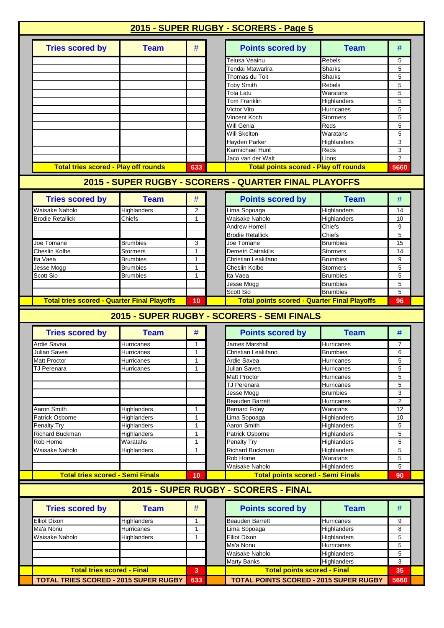|                                                                                                                                                                             | 2015 - SUPER RUGBY - SCORERS - Page 5 |                   |                                                                                                                |                            |                |
|-----------------------------------------------------------------------------------------------------------------------------------------------------------------------------|---------------------------------------|-------------------|----------------------------------------------------------------------------------------------------------------|----------------------------|----------------|
| <b>Tries scored by</b>                                                                                                                                                      | <b>Team</b>                           | #                 | <b>Points scored by</b>                                                                                        | <b>Team</b>                | #              |
|                                                                                                                                                                             |                                       |                   | Telusa Veainu                                                                                                  | Rebels                     | 5              |
|                                                                                                                                                                             |                                       |                   | Tendai Mtawarira                                                                                               | <b>Sharks</b>              | 5              |
|                                                                                                                                                                             |                                       |                   | Thomas du Toit                                                                                                 | <b>Sharks</b>              | 5              |
|                                                                                                                                                                             |                                       |                   | <b>Toby Smith</b>                                                                                              | <b>Rebels</b>              | 5              |
|                                                                                                                                                                             |                                       |                   | <b>Tola Latu</b>                                                                                               | Waratahs                   | 5              |
|                                                                                                                                                                             |                                       |                   | <b>Tom Franklin</b>                                                                                            | Highlanders                | 5              |
|                                                                                                                                                                             |                                       |                   | Victor Vito                                                                                                    | <b>Hurricanes</b>          | 5              |
|                                                                                                                                                                             |                                       |                   | <b>Vincent Koch</b>                                                                                            | <b>Stormers</b>            | 5              |
|                                                                                                                                                                             |                                       |                   | Will Genia                                                                                                     | Reds                       | 5              |
|                                                                                                                                                                             |                                       |                   | <b>Will Skelton</b>                                                                                            | Waratahs                   | 5              |
|                                                                                                                                                                             |                                       |                   | Hayden Parker                                                                                                  | Highlanders                | 3              |
|                                                                                                                                                                             |                                       |                   | Karmichael Hunt                                                                                                | Reds                       | 3              |
|                                                                                                                                                                             |                                       |                   | Jaco van der Walt                                                                                              | Lions                      | $\overline{2}$ |
| <b>Total tries scored - Play off rounds</b>                                                                                                                                 |                                       | 633               | <b>Total points scored - Play off rounds</b>                                                                   |                            | 5660           |
|                                                                                                                                                                             |                                       |                   | 2015 - SUPER RUGBY - SCORERS - QUARTER FINAL PLAYOFFS                                                          |                            |                |
| <b>Tries scored by</b>                                                                                                                                                      | <b>Team</b>                           | #                 | <b>Points scored by</b>                                                                                        | <b>Team</b>                | #              |
|                                                                                                                                                                             |                                       |                   |                                                                                                                |                            |                |
| Waisake Naholo                                                                                                                                                              | Highlanders                           | 2                 | Lima Sopoaga                                                                                                   | Highlanders                | 14             |
| <b>Brodie Retallick</b>                                                                                                                                                     | Chiefs                                | 1                 | Waisake Naholo                                                                                                 | Highlanders                | 10             |
|                                                                                                                                                                             |                                       |                   | <b>Andrew Horrell</b>                                                                                          | Chiefs                     | 9              |
|                                                                                                                                                                             |                                       |                   | <b>Brodie Retallick</b>                                                                                        | Chiefs                     | 5              |
| Joe Tomane                                                                                                                                                                  | Brumbies                              | 3                 | Joe Tomane                                                                                                     | <b>Brumbies</b>            | 15             |
| Cheslin Kolbe                                                                                                                                                               | Stormers                              | $\mathbf{1}$      | Demetri Catrakilis                                                                                             | <b>Stormers</b>            | 14             |
| Ita Vaea                                                                                                                                                                    | Brumbies                              | $\mathbf{1}$      | Christian Lealiifano                                                                                           | <b>Brumbies</b>            | 9              |
| Jesse Mogg                                                                                                                                                                  | Brumbies                              | 1                 | Cheslin Kolbe                                                                                                  | <b>Stormers</b>            | 5              |
| Scott Sio                                                                                                                                                                   | Brumbies                              | 1                 | Ita Vaea                                                                                                       | <b>Brumbies</b>            | 5              |
|                                                                                                                                                                             |                                       |                   | Jesse Mogg                                                                                                     | <b>Brumbies</b>            | 5              |
|                                                                                                                                                                             |                                       |                   |                                                                                                                |                            |                |
| <b>Total tries scored - Quarter Final Playoffs</b>                                                                                                                          |                                       | 10                | Scott Sio<br><b>Total points scored - Quarter Final Playoffs</b><br>2015 - SUPER RUGBY - SCORERS - SEMI FINALS | <b>Brumbies</b>            | 5<br>96        |
|                                                                                                                                                                             |                                       |                   |                                                                                                                |                            |                |
| <b>Tries scored by</b>                                                                                                                                                      | <b>Team</b>                           | #                 | <b>Points scored by</b>                                                                                        | <b>Team</b>                | #              |
|                                                                                                                                                                             | Hurricanes                            | 1<br>1            | James Marshall                                                                                                 | Hurricanes                 | 7              |
| Julian Savea                                                                                                                                                                | <b>Hurricanes</b>                     |                   | Christian Lealiifano                                                                                           | <b>Brumbies</b>            | 6              |
|                                                                                                                                                                             | Hurricanes                            | $\mathbf{1}$<br>1 | <b>Ardie Savea</b>                                                                                             | <b>Hurricanes</b>          | 5              |
| TJ Perenara                                                                                                                                                                 | Hurricanes                            |                   | Julian Savea                                                                                                   | Hurricanes                 | 5              |
|                                                                                                                                                                             |                                       |                   | <b>Matt Proctor</b><br><b>TJ Perenara</b>                                                                      | Hurricanes<br>Hurricanes   | 5<br>5         |
| Ardie Savea                                                                                                                                                                 |                                       |                   |                                                                                                                | <b>Brumbies</b>            | 3              |
|                                                                                                                                                                             |                                       |                   | Jesse Mogg                                                                                                     | Hurricanes                 | $\overline{c}$ |
| Aaron Smith                                                                                                                                                                 | Highlanders                           | 1                 | <b>Beauden Barrett</b><br><b>Bernard Foley</b>                                                                 | Waratahs                   | 12             |
| Patrick Osborne                                                                                                                                                             |                                       | 1                 | Lima Sopoaga                                                                                                   | Highlanders                | 10             |
|                                                                                                                                                                             | Highlanders<br>Highlanders            | 1                 | Aaron Smith                                                                                                    | Highlanders                | 5              |
|                                                                                                                                                                             | Highlanders                           | 1                 | Patrick Osborne                                                                                                | Highlanders                | 5              |
|                                                                                                                                                                             | Waratahs                              | 1                 | Penalty Try                                                                                                    | Highlanders                | 5              |
| Waisake Naholo                                                                                                                                                              | Highlanders                           | 1                 | <b>Richard Buckman</b>                                                                                         | Highlanders                | 5              |
|                                                                                                                                                                             |                                       |                   | Rob Horne                                                                                                      | Waratahs                   | 5              |
|                                                                                                                                                                             |                                       |                   | Waisake Naholo                                                                                                 | Highlanders                | 5              |
| <b>Total tries scored - Semi Finals</b>                                                                                                                                     |                                       | 10                | <b>Total points scored - Semi Finals</b>                                                                       |                            | 90             |
|                                                                                                                                                                             |                                       |                   | 2015 - SUPER RUGBY - SCORERS - FINAL                                                                           |                            |                |
| <b>Tries scored by</b>                                                                                                                                                      | <b>Team</b>                           | #                 | <b>Points scored by</b>                                                                                        | <b>Team</b>                | #              |
|                                                                                                                                                                             |                                       | 1                 |                                                                                                                |                            |                |
|                                                                                                                                                                             | Highlanders                           | $\mathbf{1}$      | <b>Beauden Barrett</b>                                                                                         | Hurricanes                 | 9              |
|                                                                                                                                                                             | Hurricanes                            | $\mathbf{1}$      | Lima Sopoaga                                                                                                   | Highlanders                | 8              |
|                                                                                                                                                                             | Highlanders                           |                   | Elliot Dixon<br>Ma'a Nonu                                                                                      | Highlanders                | 5              |
|                                                                                                                                                                             |                                       |                   |                                                                                                                | <b>Hurricanes</b>          | 5              |
|                                                                                                                                                                             |                                       |                   | Waisake Naholo                                                                                                 | Highlanders<br>Highlanders | 5<br>3         |
| <b>Matt Proctor</b><br><b>Penalty Try</b><br><b>Richard Buckman</b><br>Rob Horne<br><b>Elliot Dixon</b><br>Ma'a Nonu<br>Waisake Naholo<br><b>Total tries scored - Final</b> |                                       | 3                 | Marty Banks<br><b>Total points scored - Final</b>                                                              |                            | 35             |